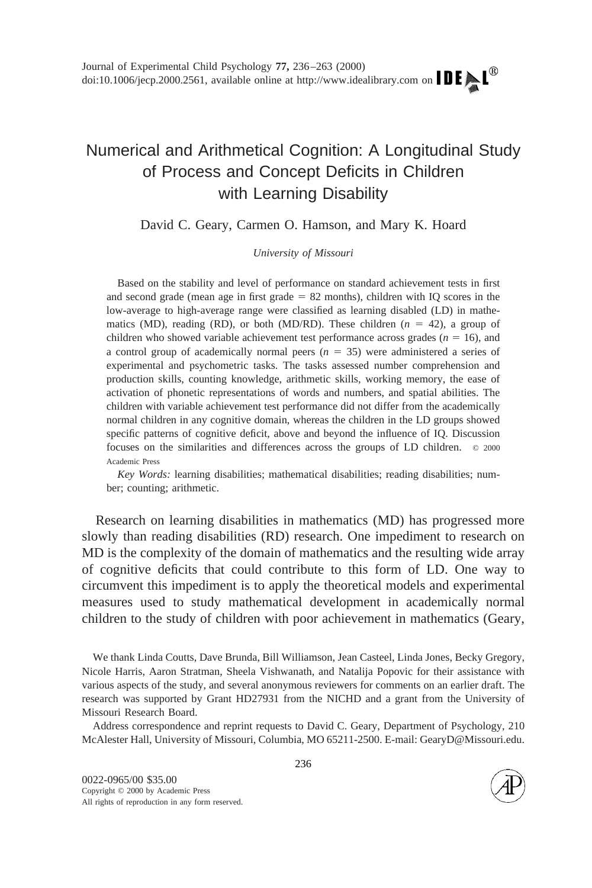# Numerical and Arithmetical Cognition: A Longitudinal Study of Process and Concept Deficits in Children with Learning Disability

David C. Geary, Carmen O. Hamson, and Mary K. Hoard

#### *University of Missouri*

Based on the stability and level of performance on standard achievement tests in first and second grade (mean age in first grade  $= 82$  months), children with IQ scores in the low-average to high-average range were classified as learning disabled (LD) in mathematics (MD), reading (RD), or both (MD/RD). These children  $(n = 42)$ , a group of children who showed variable achievement test performance across grades  $(n = 16)$ , and a control group of academically normal peers  $(n = 35)$  were administered a series of experimental and psychometric tasks. The tasks assessed number comprehension and production skills, counting knowledge, arithmetic skills, working memory, the ease of activation of phonetic representations of words and numbers, and spatial abilities. The children with variable achievement test performance did not differ from the academically normal children in any cognitive domain, whereas the children in the LD groups showed specific patterns of cognitive deficit, above and beyond the influence of IQ. Discussion focuses on the similarities and differences across the groups of LD children. © 2000 Academic Press

*Key Words:* learning disabilities; mathematical disabilities; reading disabilities; number; counting; arithmetic.

Research on learning disabilities in mathematics (MD) has progressed more slowly than reading disabilities (RD) research. One impediment to research on MD is the complexity of the domain of mathematics and the resulting wide array of cognitive deficits that could contribute to this form of LD. One way to circumvent this impediment is to apply the theoretical models and experimental measures used to study mathematical development in academically normal children to the study of children with poor achievement in mathematics (Geary,

We thank Linda Coutts, Dave Brunda, Bill Williamson, Jean Casteel, Linda Jones, Becky Gregory, Nicole Harris, Aaron Stratman, Sheela Vishwanath, and Natalija Popovic for their assistance with various aspects of the study, and several anonymous reviewers for comments on an earlier draft. The research was supported by Grant HD27931 from the NICHD and a grant from the University of Missouri Research Board.

Address correspondence and reprint requests to David C. Geary, Department of Psychology, 210 McAlester Hall, University of Missouri, Columbia, MO 65211-2500. E-mail: GearyD@Missouri.edu.

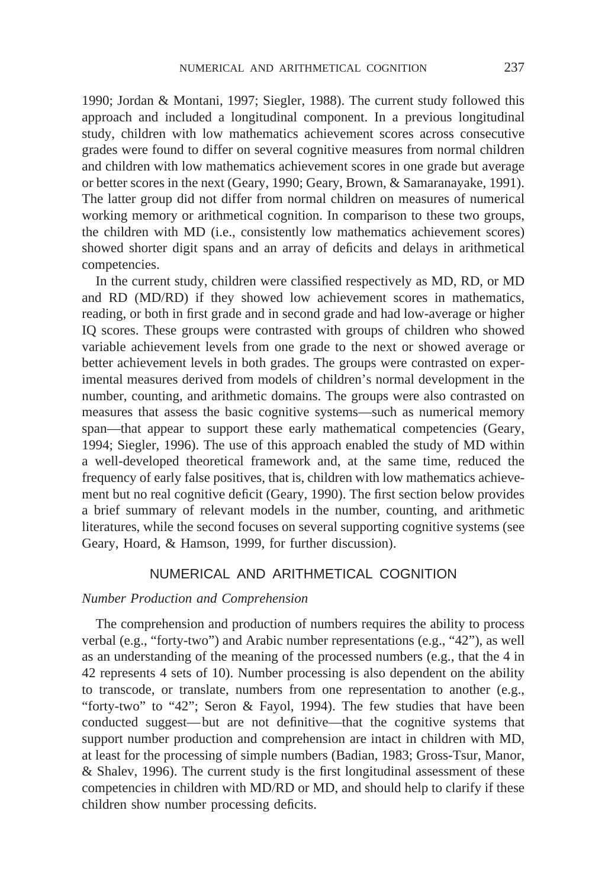1990; Jordan & Montani, 1997; Siegler, 1988). The current study followed this approach and included a longitudinal component. In a previous longitudinal study, children with low mathematics achievement scores across consecutive grades were found to differ on several cognitive measures from normal children and children with low mathematics achievement scores in one grade but average or better scores in the next (Geary, 1990; Geary, Brown, & Samaranayake, 1991). The latter group did not differ from normal children on measures of numerical working memory or arithmetical cognition. In comparison to these two groups, the children with MD (i.e., consistently low mathematics achievement scores) showed shorter digit spans and an array of deficits and delays in arithmetical competencies.

In the current study, children were classified respectively as MD, RD, or MD and RD (MD/RD) if they showed low achievement scores in mathematics, reading, or both in first grade and in second grade and had low-average or higher IQ scores. These groups were contrasted with groups of children who showed variable achievement levels from one grade to the next or showed average or better achievement levels in both grades. The groups were contrasted on experimental measures derived from models of children's normal development in the number, counting, and arithmetic domains. The groups were also contrasted on measures that assess the basic cognitive systems—such as numerical memory span—that appear to support these early mathematical competencies (Geary, 1994; Siegler, 1996). The use of this approach enabled the study of MD within a well-developed theoretical framework and, at the same time, reduced the frequency of early false positives, that is, children with low mathematics achievement but no real cognitive deficit (Geary, 1990). The first section below provides a brief summary of relevant models in the number, counting, and arithmetic literatures, while the second focuses on several supporting cognitive systems (see Geary, Hoard, & Hamson, 1999, for further discussion).

# NUMERICAL AND ARITHMETICAL COGNITION

#### *Number Production and Comprehension*

The comprehension and production of numbers requires the ability to process verbal (e.g., "forty-two") and Arabic number representations (e.g., "42"), as well as an understanding of the meaning of the processed numbers (e.g., that the 4 in 42 represents 4 sets of 10). Number processing is also dependent on the ability to transcode, or translate, numbers from one representation to another (e.g., "forty-two" to "42"; Seron & Fayol, 1994). The few studies that have been conducted suggest—but are not definitive—that the cognitive systems that support number production and comprehension are intact in children with MD, at least for the processing of simple numbers (Badian, 1983; Gross-Tsur, Manor, & Shalev, 1996). The current study is the first longitudinal assessment of these competencies in children with MD/RD or MD, and should help to clarify if these children show number processing deficits.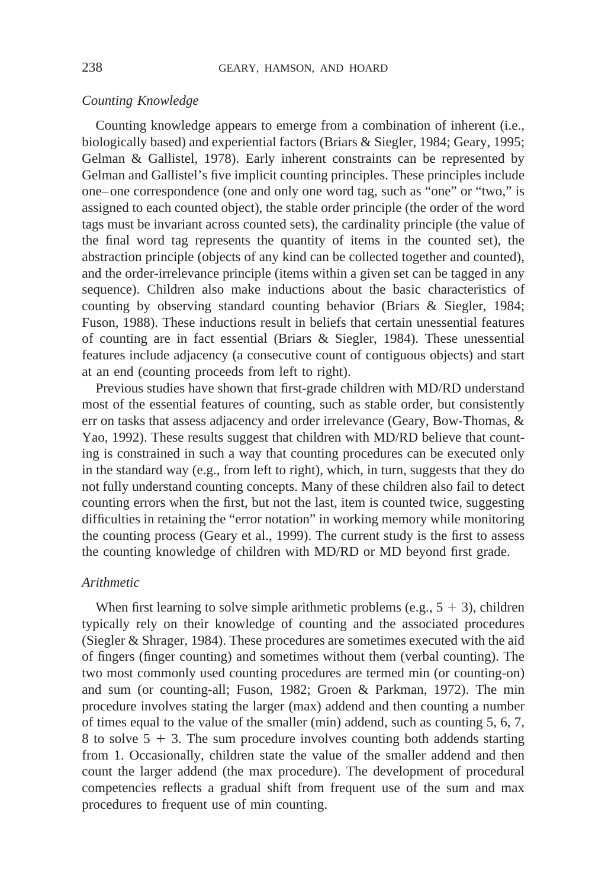### *Counting Knowledge*

Counting knowledge appears to emerge from a combination of inherent (i.e., biologically based) and experiential factors (Briars & Siegler, 1984; Geary, 1995; Gelman & Gallistel, 1978). Early inherent constraints can be represented by Gelman and Gallistel's five implicit counting principles. These principles include one–one correspondence (one and only one word tag, such as "one" or "two," is assigned to each counted object), the stable order principle (the order of the word tags must be invariant across counted sets), the cardinality principle (the value of the final word tag represents the quantity of items in the counted set), the abstraction principle (objects of any kind can be collected together and counted), and the order-irrelevance principle (items within a given set can be tagged in any sequence). Children also make inductions about the basic characteristics of counting by observing standard counting behavior (Briars & Siegler, 1984; Fuson, 1988). These inductions result in beliefs that certain unessential features of counting are in fact essential (Briars & Siegler, 1984). These unessential features include adjacency (a consecutive count of contiguous objects) and start at an end (counting proceeds from left to right).

Previous studies have shown that first-grade children with MD/RD understand most of the essential features of counting, such as stable order, but consistently err on tasks that assess adjacency and order irrelevance (Geary, Bow-Thomas, & Yao, 1992). These results suggest that children with MD/RD believe that counting is constrained in such a way that counting procedures can be executed only in the standard way (e.g., from left to right), which, in turn, suggests that they do not fully understand counting concepts. Many of these children also fail to detect counting errors when the first, but not the last, item is counted twice, suggesting difficulties in retaining the "error notation" in working memory while monitoring the counting process (Geary et al., 1999). The current study is the first to assess the counting knowledge of children with MD/RD or MD beyond first grade.

### *Arithmetic*

When first learning to solve simple arithmetic problems (e.g.,  $5 + 3$ ), children typically rely on their knowledge of counting and the associated procedures (Siegler & Shrager, 1984). These procedures are sometimes executed with the aid of fingers (finger counting) and sometimes without them (verbal counting). The two most commonly used counting procedures are termed min (or counting-on) and sum (or counting-all; Fuson, 1982; Groen & Parkman, 1972). The min procedure involves stating the larger (max) addend and then counting a number of times equal to the value of the smaller (min) addend, such as counting 5, 6, 7, 8 to solve  $5 + 3$ . The sum procedure involves counting both addends starting from 1. Occasionally, children state the value of the smaller addend and then count the larger addend (the max procedure). The development of procedural competencies reflects a gradual shift from frequent use of the sum and max procedures to frequent use of min counting.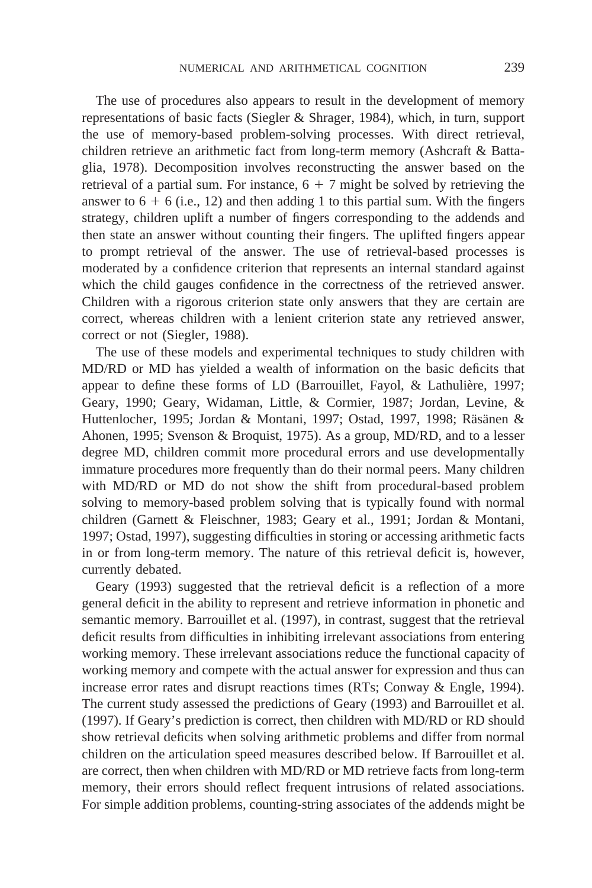The use of procedures also appears to result in the development of memory representations of basic facts (Siegler & Shrager, 1984), which, in turn, support the use of memory-based problem-solving processes. With direct retrieval, children retrieve an arithmetic fact from long-term memory (Ashcraft & Battaglia, 1978). Decomposition involves reconstructing the answer based on the retrieval of a partial sum. For instance,  $6 + 7$  might be solved by retrieving the answer to  $6 + 6$  (i.e., 12) and then adding 1 to this partial sum. With the fingers strategy, children uplift a number of fingers corresponding to the addends and then state an answer without counting their fingers. The uplifted fingers appear to prompt retrieval of the answer. The use of retrieval-based processes is moderated by a confidence criterion that represents an internal standard against which the child gauges confidence in the correctness of the retrieved answer. Children with a rigorous criterion state only answers that they are certain are correct, whereas children with a lenient criterion state any retrieved answer, correct or not (Siegler, 1988).

The use of these models and experimental techniques to study children with MD/RD or MD has yielded a wealth of information on the basic deficits that appear to define these forms of LD (Barrouillet, Fayol,  $\&$  Lathulière, 1997; Geary, 1990; Geary, Widaman, Little, & Cormier, 1987; Jordan, Levine, & Huttenlocher, 1995; Jordan & Montani, 1997; Ostad, 1997, 1998; Räsänen & Ahonen, 1995; Svenson & Broquist, 1975). As a group, MD/RD, and to a lesser degree MD, children commit more procedural errors and use developmentally immature procedures more frequently than do their normal peers. Many children with MD/RD or MD do not show the shift from procedural-based problem solving to memory-based problem solving that is typically found with normal children (Garnett & Fleischner, 1983; Geary et al., 1991; Jordan & Montani, 1997; Ostad, 1997), suggesting difficulties in storing or accessing arithmetic facts in or from long-term memory. The nature of this retrieval deficit is, however, currently debated.

Geary (1993) suggested that the retrieval deficit is a reflection of a more general deficit in the ability to represent and retrieve information in phonetic and semantic memory. Barrouillet et al. (1997), in contrast, suggest that the retrieval deficit results from difficulties in inhibiting irrelevant associations from entering working memory. These irrelevant associations reduce the functional capacity of working memory and compete with the actual answer for expression and thus can increase error rates and disrupt reactions times (RTs; Conway & Engle, 1994). The current study assessed the predictions of Geary (1993) and Barrouillet et al. (1997). If Geary's prediction is correct, then children with MD/RD or RD should show retrieval deficits when solving arithmetic problems and differ from normal children on the articulation speed measures described below. If Barrouillet et al. are correct, then when children with MD/RD or MD retrieve facts from long-term memory, their errors should reflect frequent intrusions of related associations. For simple addition problems, counting-string associates of the addends might be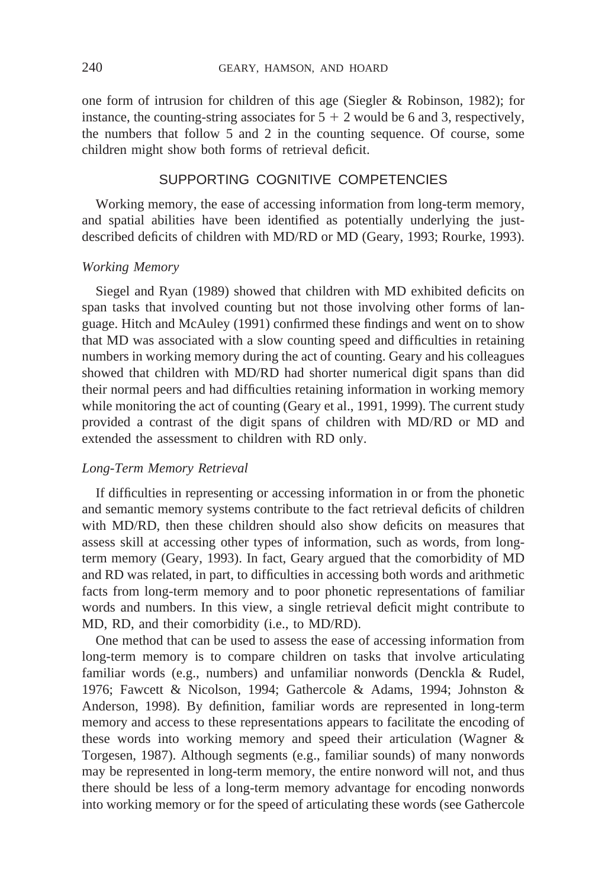one form of intrusion for children of this age (Siegler & Robinson, 1982); for instance, the counting-string associates for  $5 + 2$  would be 6 and 3, respectively, the numbers that follow 5 and 2 in the counting sequence. Of course, some children might show both forms of retrieval deficit.

## SUPPORTING COGNITIVE COMPETENCIES

Working memory, the ease of accessing information from long-term memory, and spatial abilities have been identified as potentially underlying the justdescribed deficits of children with MD/RD or MD (Geary, 1993; Rourke, 1993).

### *Working Memory*

Siegel and Ryan (1989) showed that children with MD exhibited deficits on span tasks that involved counting but not those involving other forms of language. Hitch and McAuley (1991) confirmed these findings and went on to show that MD was associated with a slow counting speed and difficulties in retaining numbers in working memory during the act of counting. Geary and his colleagues showed that children with MD/RD had shorter numerical digit spans than did their normal peers and had difficulties retaining information in working memory while monitoring the act of counting (Geary et al., 1991, 1999). The current study provided a contrast of the digit spans of children with MD/RD or MD and extended the assessment to children with RD only.

### *Long-Term Memory Retrieval*

If difficulties in representing or accessing information in or from the phonetic and semantic memory systems contribute to the fact retrieval deficits of children with MD/RD, then these children should also show deficits on measures that assess skill at accessing other types of information, such as words, from longterm memory (Geary, 1993). In fact, Geary argued that the comorbidity of MD and RD was related, in part, to difficulties in accessing both words and arithmetic facts from long-term memory and to poor phonetic representations of familiar words and numbers. In this view, a single retrieval deficit might contribute to MD, RD, and their comorbidity (i.e., to MD/RD).

One method that can be used to assess the ease of accessing information from long-term memory is to compare children on tasks that involve articulating familiar words (e.g., numbers) and unfamiliar nonwords (Denckla & Rudel, 1976; Fawcett & Nicolson, 1994; Gathercole & Adams, 1994; Johnston & Anderson, 1998). By definition, familiar words are represented in long-term memory and access to these representations appears to facilitate the encoding of these words into working memory and speed their articulation (Wagner & Torgesen, 1987). Although segments (e.g., familiar sounds) of many nonwords may be represented in long-term memory, the entire nonword will not, and thus there should be less of a long-term memory advantage for encoding nonwords into working memory or for the speed of articulating these words (see Gathercole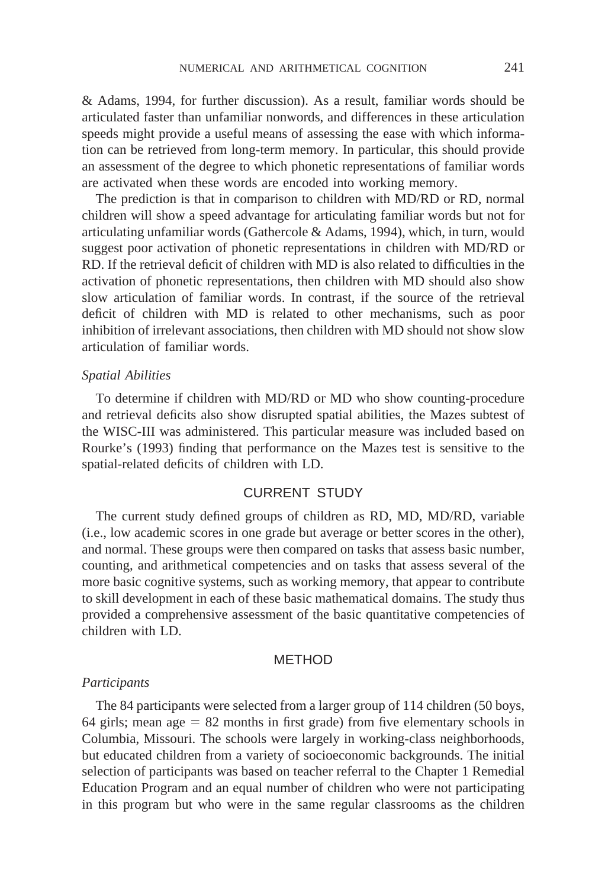& Adams, 1994, for further discussion). As a result, familiar words should be articulated faster than unfamiliar nonwords, and differences in these articulation speeds might provide a useful means of assessing the ease with which information can be retrieved from long-term memory. In particular, this should provide an assessment of the degree to which phonetic representations of familiar words are activated when these words are encoded into working memory.

The prediction is that in comparison to children with MD/RD or RD, normal children will show a speed advantage for articulating familiar words but not for articulating unfamiliar words (Gathercole & Adams, 1994), which, in turn, would suggest poor activation of phonetic representations in children with MD/RD or RD. If the retrieval deficit of children with MD is also related to difficulties in the activation of phonetic representations, then children with MD should also show slow articulation of familiar words. In contrast, if the source of the retrieval deficit of children with MD is related to other mechanisms, such as poor inhibition of irrelevant associations, then children with MD should not show slow articulation of familiar words.

#### *Spatial Abilities*

To determine if children with MD/RD or MD who show counting-procedure and retrieval deficits also show disrupted spatial abilities, the Mazes subtest of the WISC-III was administered. This particular measure was included based on Rourke's (1993) finding that performance on the Mazes test is sensitive to the spatial-related deficits of children with LD.

### CURRENT STUDY

The current study defined groups of children as RD, MD, MD/RD, variable (i.e., low academic scores in one grade but average or better scores in the other), and normal. These groups were then compared on tasks that assess basic number, counting, and arithmetical competencies and on tasks that assess several of the more basic cognitive systems, such as working memory, that appear to contribute to skill development in each of these basic mathematical domains. The study thus provided a comprehensive assessment of the basic quantitative competencies of children with LD.

### METHOD

#### *Participants*

The 84 participants were selected from a larger group of 114 children (50 boys, 64 girls; mean age  $= 82$  months in first grade) from five elementary schools in Columbia, Missouri. The schools were largely in working-class neighborhoods, but educated children from a variety of socioeconomic backgrounds. The initial selection of participants was based on teacher referral to the Chapter 1 Remedial Education Program and an equal number of children who were not participating in this program but who were in the same regular classrooms as the children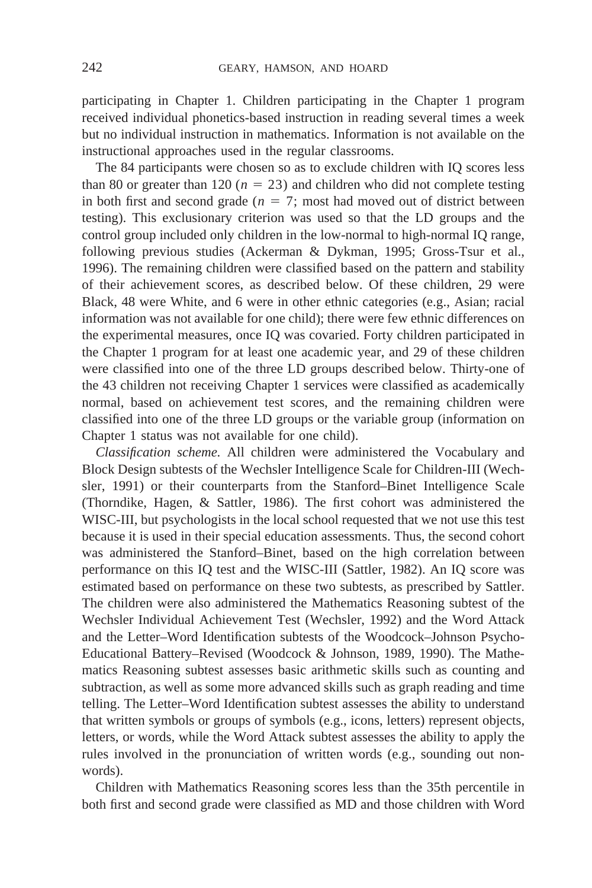participating in Chapter 1. Children participating in the Chapter 1 program received individual phonetics-based instruction in reading several times a week but no individual instruction in mathematics. Information is not available on the instructional approaches used in the regular classrooms.

The 84 participants were chosen so as to exclude children with IQ scores less than 80 or greater than 120 ( $n = 23$ ) and children who did not complete testing in both first and second grade ( $n = 7$ ; most had moved out of district between testing). This exclusionary criterion was used so that the LD groups and the control group included only children in the low-normal to high-normal IQ range, following previous studies (Ackerman & Dykman, 1995; Gross-Tsur et al., 1996). The remaining children were classified based on the pattern and stability of their achievement scores, as described below. Of these children, 29 were Black, 48 were White, and 6 were in other ethnic categories (e.g., Asian; racial information was not available for one child); there were few ethnic differences on the experimental measures, once IQ was covaried. Forty children participated in the Chapter 1 program for at least one academic year, and 29 of these children were classified into one of the three LD groups described below. Thirty-one of the 43 children not receiving Chapter 1 services were classified as academically normal, based on achievement test scores, and the remaining children were classified into one of the three LD groups or the variable group (information on Chapter 1 status was not available for one child).

*Classification scheme.* All children were administered the Vocabulary and Block Design subtests of the Wechsler Intelligence Scale for Children-III (Wechsler, 1991) or their counterparts from the Stanford–Binet Intelligence Scale (Thorndike, Hagen, & Sattler, 1986). The first cohort was administered the WISC-III, but psychologists in the local school requested that we not use this test because it is used in their special education assessments. Thus, the second cohort was administered the Stanford–Binet, based on the high correlation between performance on this IQ test and the WISC-III (Sattler, 1982). An IQ score was estimated based on performance on these two subtests, as prescribed by Sattler. The children were also administered the Mathematics Reasoning subtest of the Wechsler Individual Achievement Test (Wechsler, 1992) and the Word Attack and the Letter–Word Identification subtests of the Woodcock–Johnson Psycho-Educational Battery–Revised (Woodcock & Johnson, 1989, 1990). The Mathematics Reasoning subtest assesses basic arithmetic skills such as counting and subtraction, as well as some more advanced skills such as graph reading and time telling. The Letter–Word Identification subtest assesses the ability to understand that written symbols or groups of symbols (e.g., icons, letters) represent objects, letters, or words, while the Word Attack subtest assesses the ability to apply the rules involved in the pronunciation of written words (e.g., sounding out nonwords).

Children with Mathematics Reasoning scores less than the 35th percentile in both first and second grade were classified as MD and those children with Word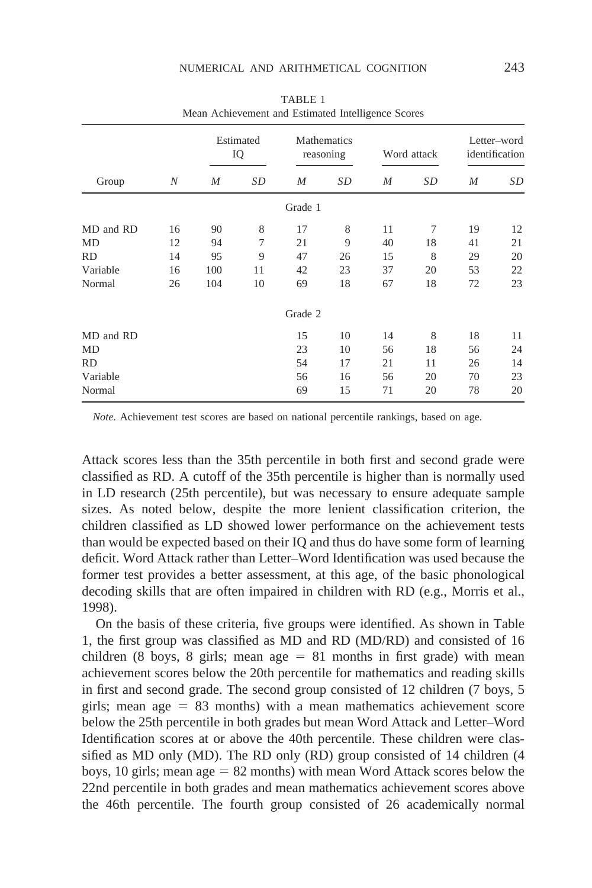|           |    |     | Estimated<br>IQ |         | Mathematics<br>reasoning |    | Word attack |    | Letter-word<br>identification |
|-----------|----|-----|-----------------|---------|--------------------------|----|-------------|----|-------------------------------|
| Group     | N  | M   | SD              | M       | SD                       | M  | SD          | M  | SD                            |
|           |    |     |                 | Grade 1 |                          |    |             |    |                               |
| MD and RD | 16 | 90  | 8               | 17      | 8                        | 11 | 7           | 19 | 12                            |
| MD        | 12 | 94  | 7               | 21      | 9                        | 40 | 18          | 41 | 21                            |
| <b>RD</b> | 14 | 95  | 9               | 47      | 26                       | 15 | 8           | 29 | 20                            |
| Variable  | 16 | 100 | 11              | 42      | 23                       | 37 | 20          | 53 | 22                            |
| Normal    | 26 | 104 | 10              | 69      | 18                       | 67 | 18          | 72 | 23                            |
|           |    |     |                 | Grade 2 |                          |    |             |    |                               |
| MD and RD |    |     |                 | 15      | 10                       | 14 | 8           | 18 | 11                            |
| MD        |    |     |                 | 23      | 10                       | 56 | 18          | 56 | 24                            |
| <b>RD</b> |    |     |                 | 54      | 17                       | 21 | 11          | 26 | 14                            |
| Variable  |    |     |                 | 56      | 16                       | 56 | 20          | 70 | 23                            |
| Normal    |    |     |                 | 69      | 15                       | 71 | 20          | 78 | 20                            |

TABLE 1 Mean Achievement and Estimated Intelligence Scores

*Note.* Achievement test scores are based on national percentile rankings, based on age.

Attack scores less than the 35th percentile in both first and second grade were classified as RD. A cutoff of the 35th percentile is higher than is normally used in LD research (25th percentile), but was necessary to ensure adequate sample sizes. As noted below, despite the more lenient classification criterion, the children classified as LD showed lower performance on the achievement tests than would be expected based on their IQ and thus do have some form of learning deficit. Word Attack rather than Letter–Word Identification was used because the former test provides a better assessment, at this age, of the basic phonological decoding skills that are often impaired in children with RD (e.g., Morris et al., 1998).

On the basis of these criteria, five groups were identified. As shown in Table 1, the first group was classified as MD and RD (MD/RD) and consisted of 16 children (8 boys, 8 girls; mean age  $= 81$  months in first grade) with mean achievement scores below the 20th percentile for mathematics and reading skills in first and second grade. The second group consisted of 12 children (7 boys, 5 girls; mean age  $= 83$  months) with a mean mathematics achievement score below the 25th percentile in both grades but mean Word Attack and Letter–Word Identification scores at or above the 40th percentile. These children were classified as MD only (MD). The RD only (RD) group consisted of 14 children (4 boys, 10 girls; mean age  $= 82$  months) with mean Word Attack scores below the 22nd percentile in both grades and mean mathematics achievement scores above the 46th percentile. The fourth group consisted of 26 academically normal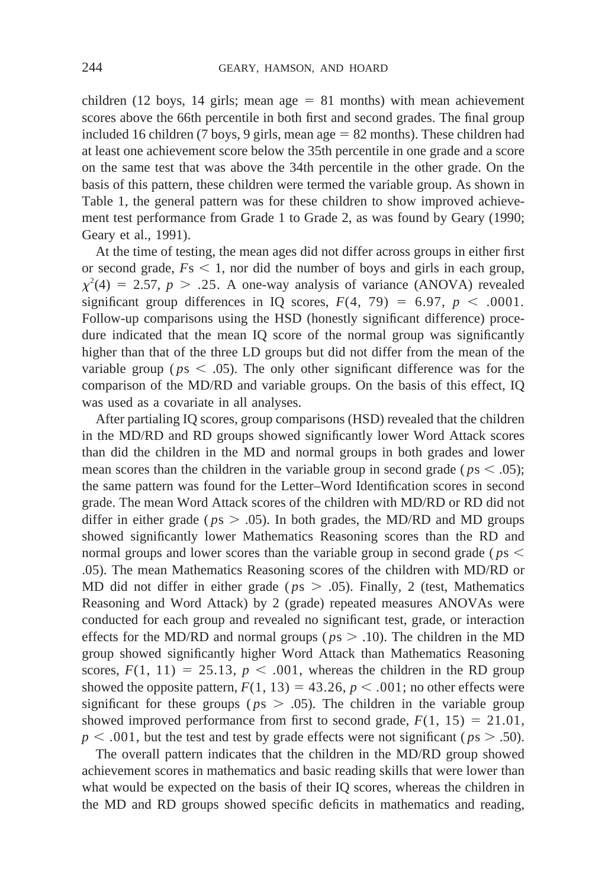children (12 boys, 14 girls; mean age  $= 81$  months) with mean achievement scores above the 66th percentile in both first and second grades. The final group included 16 children (7 boys, 9 girls, mean age  $= 82$  months). These children had at least one achievement score below the 35th percentile in one grade and a score on the same test that was above the 34th percentile in the other grade. On the basis of this pattern, these children were termed the variable group. As shown in Table 1, the general pattern was for these children to show improved achievement test performance from Grade 1 to Grade 2, as was found by Geary (1990; Geary et al., 1991).

At the time of testing, the mean ages did not differ across groups in either first or second grade,  $Fs < 1$ , nor did the number of boys and girls in each group,  $\chi^2(4) = 2.57$ ,  $p > .25$ . A one-way analysis of variance (ANOVA) revealed significant group differences in IQ scores,  $F(4, 79) = 6.97$ ,  $p < .0001$ . Follow-up comparisons using the HSD (honestly significant difference) procedure indicated that the mean IQ score of the normal group was significantly higher than that of the three LD groups but did not differ from the mean of the variable group ( $ps < .05$ ). The only other significant difference was for the comparison of the MD/RD and variable groups. On the basis of this effect, IQ was used as a covariate in all analyses.

After partialing IQ scores, group comparisons (HSD) revealed that the children in the MD/RD and RD groups showed significantly lower Word Attack scores than did the children in the MD and normal groups in both grades and lower mean scores than the children in the variable group in second grade ( $p_s < .05$ ); the same pattern was found for the Letter–Word Identification scores in second grade. The mean Word Attack scores of the children with MD/RD or RD did not differ in either grade ( $ps > .05$ ). In both grades, the MD/RD and MD groups showed significantly lower Mathematics Reasoning scores than the RD and normal groups and lower scores than the variable group in second grade ( $p_s$   $\lt$ .05). The mean Mathematics Reasoning scores of the children with MD/RD or MD did not differ in either grade ( $ps > .05$ ). Finally, 2 (test, Mathematics Reasoning and Word Attack) by 2 (grade) repeated measures ANOVAs were conducted for each group and revealed no significant test, grade, or interaction effects for the MD/RD and normal groups ( $p s > .10$ ). The children in the MD group showed significantly higher Word Attack than Mathematics Reasoning scores,  $F(1, 11) = 25.13$ ,  $p < .001$ , whereas the children in the RD group showed the opposite pattern,  $F(1, 13) = 43.26$ ,  $p < .001$ ; no other effects were significant for these groups ( $ps > .05$ ). The children in the variable group showed improved performance from first to second grade,  $F(1, 15) = 21.01$ ,  $p < .001$ , but the test and test by grade effects were not significant ( $p_s > .50$ ).

The overall pattern indicates that the children in the MD/RD group showed achievement scores in mathematics and basic reading skills that were lower than what would be expected on the basis of their IQ scores, whereas the children in the MD and RD groups showed specific deficits in mathematics and reading,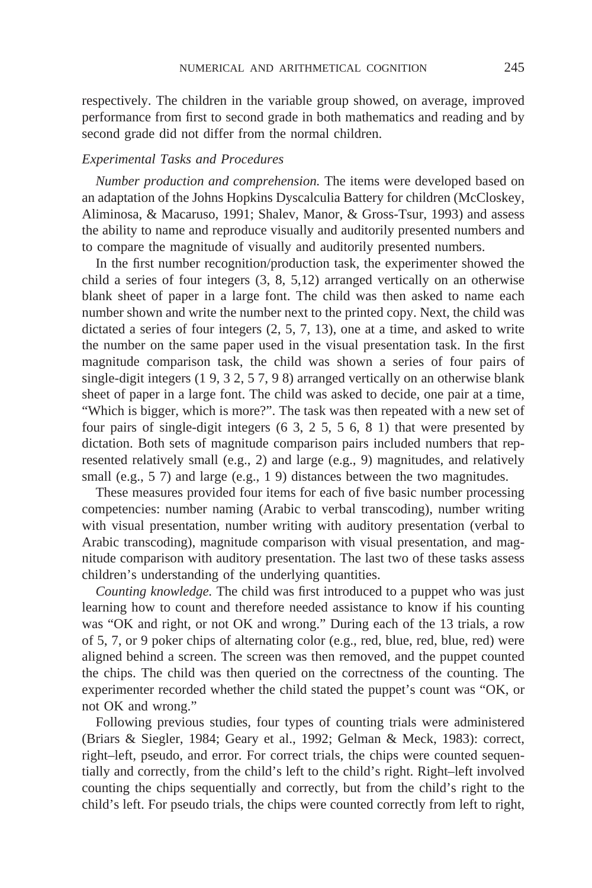respectively. The children in the variable group showed, on average, improved performance from first to second grade in both mathematics and reading and by second grade did not differ from the normal children.

### *Experimental Tasks and Procedures*

*Number production and comprehension.* The items were developed based on an adaptation of the Johns Hopkins Dyscalculia Battery for children (McCloskey, Aliminosa, & Macaruso, 1991; Shalev, Manor, & Gross-Tsur, 1993) and assess the ability to name and reproduce visually and auditorily presented numbers and to compare the magnitude of visually and auditorily presented numbers.

In the first number recognition/production task, the experimenter showed the child a series of four integers  $(3, 8, 5, 12)$  arranged vertically on an otherwise blank sheet of paper in a large font. The child was then asked to name each number shown and write the number next to the printed copy. Next, the child was dictated a series of four integers (2, 5, 7, 13), one at a time, and asked to write the number on the same paper used in the visual presentation task. In the first magnitude comparison task, the child was shown a series of four pairs of single-digit integers (1 9, 3 2, 5 7, 9 8) arranged vertically on an otherwise blank sheet of paper in a large font. The child was asked to decide, one pair at a time, "Which is bigger, which is more?". The task was then repeated with a new set of four pairs of single-digit integers (6 3, 2 5, 5 6, 8 1) that were presented by dictation. Both sets of magnitude comparison pairs included numbers that represented relatively small (e.g., 2) and large (e.g., 9) magnitudes, and relatively small (e.g., 5 7) and large (e.g., 1 9) distances between the two magnitudes.

These measures provided four items for each of five basic number processing competencies: number naming (Arabic to verbal transcoding), number writing with visual presentation, number writing with auditory presentation (verbal to Arabic transcoding), magnitude comparison with visual presentation, and magnitude comparison with auditory presentation. The last two of these tasks assess children's understanding of the underlying quantities.

*Counting knowledge.* The child was first introduced to a puppet who was just learning how to count and therefore needed assistance to know if his counting was "OK and right, or not OK and wrong." During each of the 13 trials, a row of 5, 7, or 9 poker chips of alternating color (e.g., red, blue, red, blue, red) were aligned behind a screen. The screen was then removed, and the puppet counted the chips. The child was then queried on the correctness of the counting. The experimenter recorded whether the child stated the puppet's count was "OK, or not OK and wrong."

Following previous studies, four types of counting trials were administered (Briars & Siegler, 1984; Geary et al., 1992; Gelman & Meck, 1983): correct, right–left, pseudo, and error. For correct trials, the chips were counted sequentially and correctly, from the child's left to the child's right. Right–left involved counting the chips sequentially and correctly, but from the child's right to the child's left. For pseudo trials, the chips were counted correctly from left to right,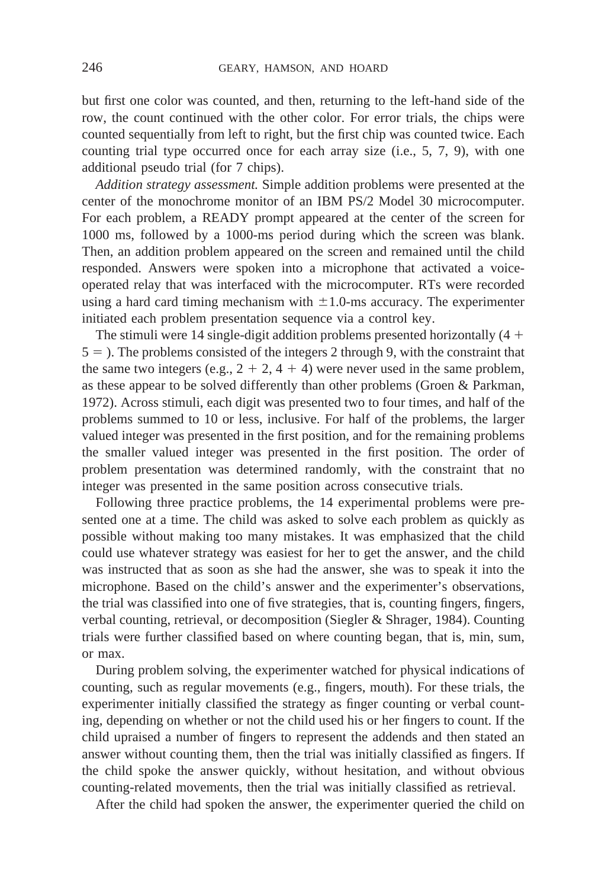but first one color was counted, and then, returning to the left-hand side of the row, the count continued with the other color. For error trials, the chips were counted sequentially from left to right, but the first chip was counted twice. Each counting trial type occurred once for each array size (i.e., 5, 7, 9), with one additional pseudo trial (for 7 chips).

*Addition strategy assessment.* Simple addition problems were presented at the center of the monochrome monitor of an IBM PS/2 Model 30 microcomputer. For each problem, a READY prompt appeared at the center of the screen for 1000 ms, followed by a 1000-ms period during which the screen was blank. Then, an addition problem appeared on the screen and remained until the child responded. Answers were spoken into a microphone that activated a voiceoperated relay that was interfaced with the microcomputer. RTs were recorded using a hard card timing mechanism with  $\pm 1.0$ -ms accuracy. The experimenter initiated each problem presentation sequence via a control key.

The stimuli were 14 single-digit addition problems presented horizontally  $(4 +$  $5 =$ ). The problems consisted of the integers 2 through 9, with the constraint that the same two integers (e.g.,  $2 + 2$ ,  $4 + 4$ ) were never used in the same problem, as these appear to be solved differently than other problems (Groen & Parkman, 1972). Across stimuli, each digit was presented two to four times, and half of the problems summed to 10 or less, inclusive. For half of the problems, the larger valued integer was presented in the first position, and for the remaining problems the smaller valued integer was presented in the first position. The order of problem presentation was determined randomly, with the constraint that no integer was presented in the same position across consecutive trials.

Following three practice problems, the 14 experimental problems were presented one at a time. The child was asked to solve each problem as quickly as possible without making too many mistakes. It was emphasized that the child could use whatever strategy was easiest for her to get the answer, and the child was instructed that as soon as she had the answer, she was to speak it into the microphone. Based on the child's answer and the experimenter's observations, the trial was classified into one of five strategies, that is, counting fingers, fingers, verbal counting, retrieval, or decomposition (Siegler & Shrager, 1984). Counting trials were further classified based on where counting began, that is, min, sum, or max.

During problem solving, the experimenter watched for physical indications of counting, such as regular movements (e.g., fingers, mouth). For these trials, the experimenter initially classified the strategy as finger counting or verbal counting, depending on whether or not the child used his or her fingers to count. If the child upraised a number of fingers to represent the addends and then stated an answer without counting them, then the trial was initially classified as fingers. If the child spoke the answer quickly, without hesitation, and without obvious counting-related movements, then the trial was initially classified as retrieval.

After the child had spoken the answer, the experimenter queried the child on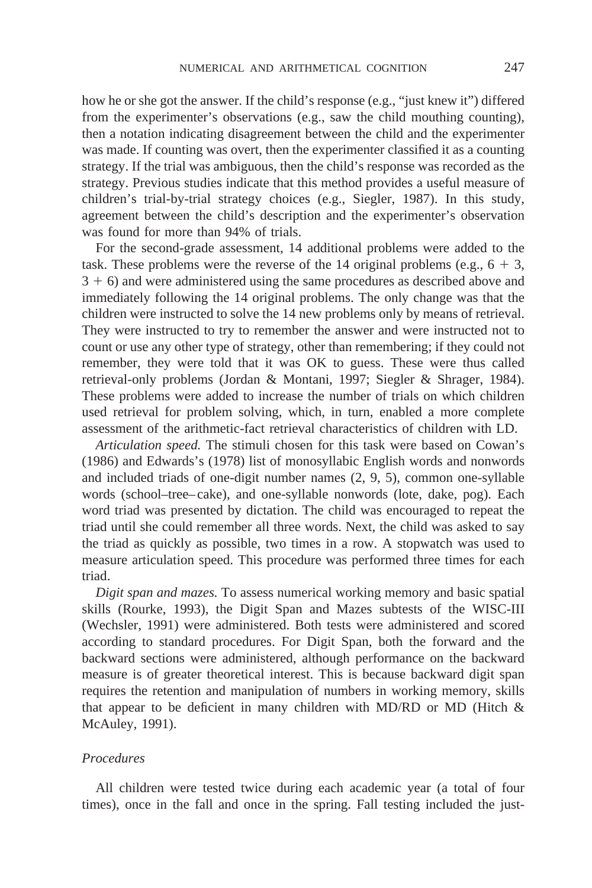how he or she got the answer. If the child's response (e.g., "just knew it") differed

from the experimenter's observations (e.g., saw the child mouthing counting), then a notation indicating disagreement between the child and the experimenter was made. If counting was overt, then the experimenter classified it as a counting strategy. If the trial was ambiguous, then the child's response was recorded as the strategy. Previous studies indicate that this method provides a useful measure of children's trial-by-trial strategy choices (e.g., Siegler, 1987). In this study, agreement between the child's description and the experimenter's observation was found for more than 94% of trials.

For the second-grade assessment, 14 additional problems were added to the task. These problems were the reverse of the 14 original problems (e.g.,  $6 + 3$ ,  $3 + 6$ ) and were administered using the same procedures as described above and immediately following the 14 original problems. The only change was that the children were instructed to solve the 14 new problems only by means of retrieval. They were instructed to try to remember the answer and were instructed not to count or use any other type of strategy, other than remembering; if they could not remember, they were told that it was OK to guess. These were thus called retrieval-only problems (Jordan & Montani, 1997; Siegler & Shrager, 1984). These problems were added to increase the number of trials on which children used retrieval for problem solving, which, in turn, enabled a more complete assessment of the arithmetic-fact retrieval characteristics of children with LD.

*Articulation speed.* The stimuli chosen for this task were based on Cowan's (1986) and Edwards's (1978) list of monosyllabic English words and nonwords and included triads of one-digit number names (2, 9, 5), common one-syllable words (school–tree–cake), and one-syllable nonwords (lote, dake, pog). Each word triad was presented by dictation. The child was encouraged to repeat the triad until she could remember all three words. Next, the child was asked to say the triad as quickly as possible, two times in a row. A stopwatch was used to measure articulation speed. This procedure was performed three times for each triad.

*Digit span and mazes.* To assess numerical working memory and basic spatial skills (Rourke, 1993), the Digit Span and Mazes subtests of the WISC-III (Wechsler, 1991) were administered. Both tests were administered and scored according to standard procedures. For Digit Span, both the forward and the backward sections were administered, although performance on the backward measure is of greater theoretical interest. This is because backward digit span requires the retention and manipulation of numbers in working memory, skills that appear to be deficient in many children with MD/RD or MD (Hitch & McAuley, 1991).

### *Procedures*

All children were tested twice during each academic year (a total of four times), once in the fall and once in the spring. Fall testing included the just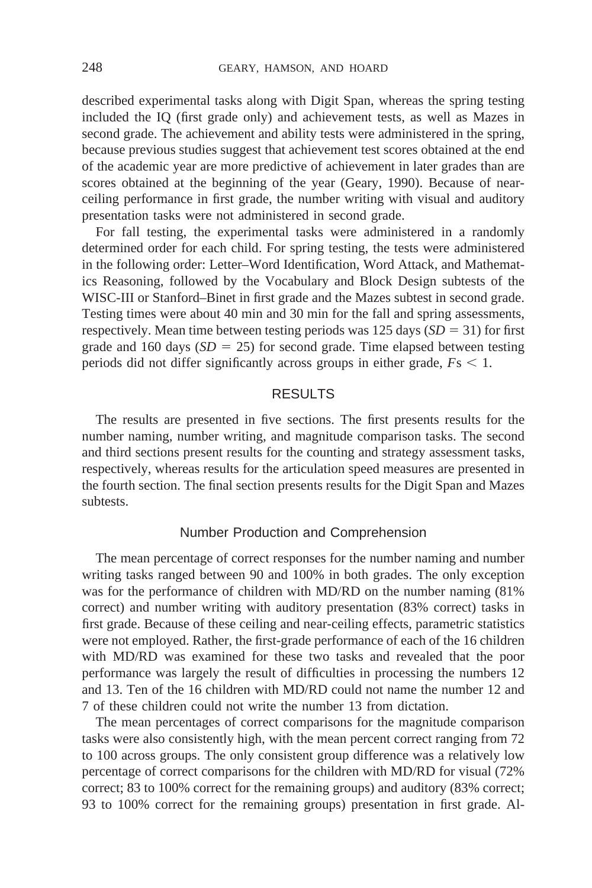described experimental tasks along with Digit Span, whereas the spring testing included the IQ (first grade only) and achievement tests, as well as Mazes in second grade. The achievement and ability tests were administered in the spring, because previous studies suggest that achievement test scores obtained at the end of the academic year are more predictive of achievement in later grades than are scores obtained at the beginning of the year (Geary, 1990). Because of nearceiling performance in first grade, the number writing with visual and auditory presentation tasks were not administered in second grade.

For fall testing, the experimental tasks were administered in a randomly determined order for each child. For spring testing, the tests were administered in the following order: Letter–Word Identification, Word Attack, and Mathematics Reasoning, followed by the Vocabulary and Block Design subtests of the WISC-III or Stanford–Binet in first grade and the Mazes subtest in second grade. Testing times were about 40 min and 30 min for the fall and spring assessments, respectively. Mean time between testing periods was 125 days  $(SD = 31)$  for first grade and 160 days  $(SD = 25)$  for second grade. Time elapsed between testing periods did not differ significantly across groups in either grade,  $Fs < 1$ .

### RESULTS

The results are presented in five sections. The first presents results for the number naming, number writing, and magnitude comparison tasks. The second and third sections present results for the counting and strategy assessment tasks, respectively, whereas results for the articulation speed measures are presented in the fourth section. The final section presents results for the Digit Span and Mazes subtests.

# Number Production and Comprehension

The mean percentage of correct responses for the number naming and number writing tasks ranged between 90 and 100% in both grades. The only exception was for the performance of children with MD/RD on the number naming (81% correct) and number writing with auditory presentation (83% correct) tasks in first grade. Because of these ceiling and near-ceiling effects, parametric statistics were not employed. Rather, the first-grade performance of each of the 16 children with MD/RD was examined for these two tasks and revealed that the poor performance was largely the result of difficulties in processing the numbers 12 and 13. Ten of the 16 children with MD/RD could not name the number 12 and 7 of these children could not write the number 13 from dictation.

The mean percentages of correct comparisons for the magnitude comparison tasks were also consistently high, with the mean percent correct ranging from 72 to 100 across groups. The only consistent group difference was a relatively low percentage of correct comparisons for the children with MD/RD for visual (72% correct; 83 to 100% correct for the remaining groups) and auditory (83% correct; 93 to 100% correct for the remaining groups) presentation in first grade. Al-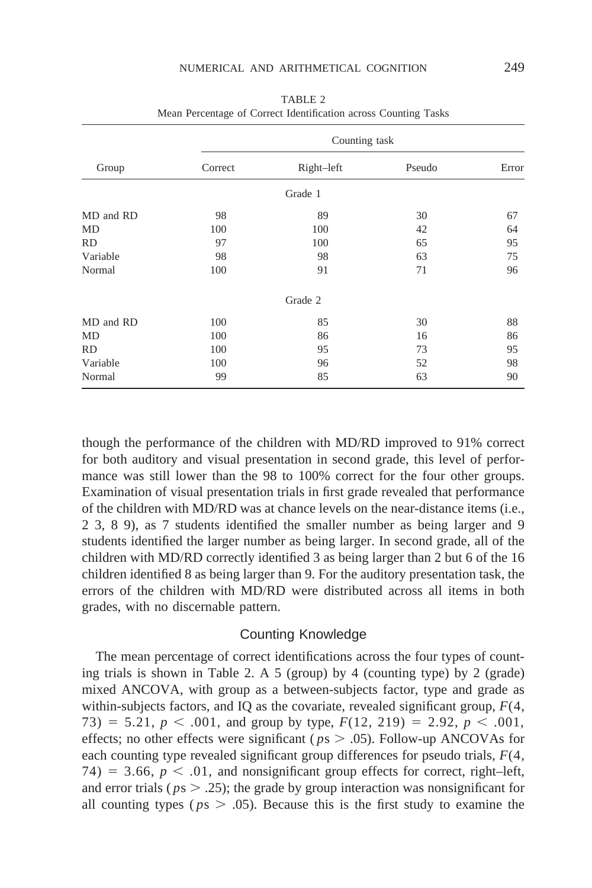|           |         | Counting task |        |       |
|-----------|---------|---------------|--------|-------|
| Group     | Correct | Right-left    | Pseudo | Error |
|           |         | Grade 1       |        |       |
| MD and RD | 98      | 89            | 30     | 67    |
| <b>MD</b> | 100     | 100           | 42     | 64    |
| <b>RD</b> | 97      | 100           | 65     | 95    |
| Variable  | 98      | 98            | 63     | 75    |
| Normal    | 100     | 91            | 71     | 96    |
|           |         | Grade 2       |        |       |
| MD and RD | 100     | 85            | 30     | 88    |
| MD        | 100     | 86            | 16     | 86    |
| <b>RD</b> | 100     | 95            | 73     | 95    |
| Variable  | 100     | 96            | 52     | 98    |
| Normal    | 99      | 85            | 63     | 90    |

| TABLE 2                                                         |  |
|-----------------------------------------------------------------|--|
| Mean Percentage of Correct Identification across Counting Tasks |  |

though the performance of the children with MD/RD improved to 91% correct for both auditory and visual presentation in second grade, this level of performance was still lower than the 98 to 100% correct for the four other groups. Examination of visual presentation trials in first grade revealed that performance of the children with MD/RD was at chance levels on the near-distance items (i.e., 2 3, 8 9), as 7 students identified the smaller number as being larger and 9 students identified the larger number as being larger. In second grade, all of the children with MD/RD correctly identified 3 as being larger than 2 but 6 of the 16 children identified 8 as being larger than 9. For the auditory presentation task, the errors of the children with MD/RD were distributed across all items in both grades, with no discernable pattern.

# Counting Knowledge

The mean percentage of correct identifications across the four types of counting trials is shown in Table 2. A 5 (group) by 4 (counting type) by 2 (grade) mixed ANCOVA, with group as a between-subjects factor, type and grade as within-subjects factors, and IQ as the covariate, revealed significant group, *F*(4, 73) = 5.21,  $p < .001$ , and group by type,  $F(12, 219) = 2.92$ ,  $p < .001$ , effects; no other effects were significant ( $p_s$   $>$  .05). Follow-up ANCOVAs for each counting type revealed significant group differences for pseudo trials, *F*(4, 74) = 3.66,  $p < .01$ , and nonsignificant group effects for correct, right-left, and error trials ( $p_s > .25$ ); the grade by group interaction was nonsignificant for all counting types ( $ps > .05$ ). Because this is the first study to examine the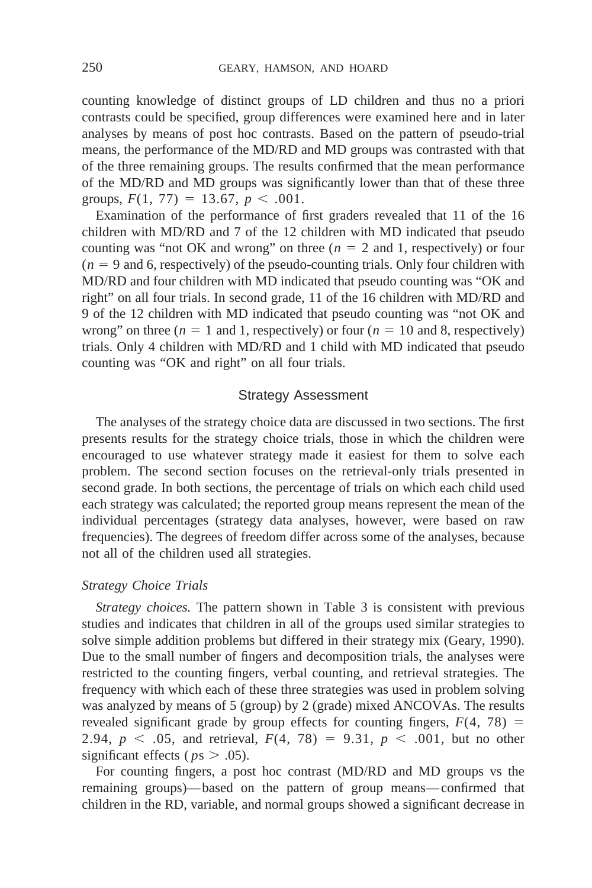counting knowledge of distinct groups of LD children and thus no a priori contrasts could be specified, group differences were examined here and in later analyses by means of post hoc contrasts. Based on the pattern of pseudo-trial means, the performance of the MD/RD and MD groups was contrasted with that of the three remaining groups. The results confirmed that the mean performance of the MD/RD and MD groups was significantly lower than that of these three groups,  $F(1, 77) = 13.67$ ,  $p < .001$ .

Examination of the performance of first graders revealed that 11 of the 16 children with MD/RD and 7 of the 12 children with MD indicated that pseudo counting was "not OK and wrong" on three  $(n = 2$  and 1, respectively) or four  $(n = 9$  and 6, respectively) of the pseudo-counting trials. Only four children with MD/RD and four children with MD indicated that pseudo counting was "OK and right" on all four trials. In second grade, 11 of the 16 children with MD/RD and 9 of the 12 children with MD indicated that pseudo counting was "not OK and wrong" on three ( $n = 1$  and 1, respectively) or four ( $n = 10$  and 8, respectively) trials. Only 4 children with MD/RD and 1 child with MD indicated that pseudo counting was "OK and right" on all four trials.

# Strategy Assessment

The analyses of the strategy choice data are discussed in two sections. The first presents results for the strategy choice trials, those in which the children were encouraged to use whatever strategy made it easiest for them to solve each problem. The second section focuses on the retrieval-only trials presented in second grade. In both sections, the percentage of trials on which each child used each strategy was calculated; the reported group means represent the mean of the individual percentages (strategy data analyses, however, were based on raw frequencies). The degrees of freedom differ across some of the analyses, because not all of the children used all strategies.

### *Strategy Choice Trials*

*Strategy choices.* The pattern shown in Table 3 is consistent with previous studies and indicates that children in all of the groups used similar strategies to solve simple addition problems but differed in their strategy mix (Geary, 1990). Due to the small number of fingers and decomposition trials, the analyses were restricted to the counting fingers, verbal counting, and retrieval strategies. The frequency with which each of these three strategies was used in problem solving was analyzed by means of 5 (group) by 2 (grade) mixed ANCOVAs. The results revealed significant grade by group effects for counting fingers,  $F(4, 78) =$ 2.94,  $p < .05$ , and retrieval,  $F(4, 78) = 9.31$ ,  $p < .001$ , but no other significant effects ( $p_s > .05$ ).

For counting fingers, a post hoc contrast (MD/RD and MD groups vs the remaining groups)—based on the pattern of group means—confirmed that children in the RD, variable, and normal groups showed a significant decrease in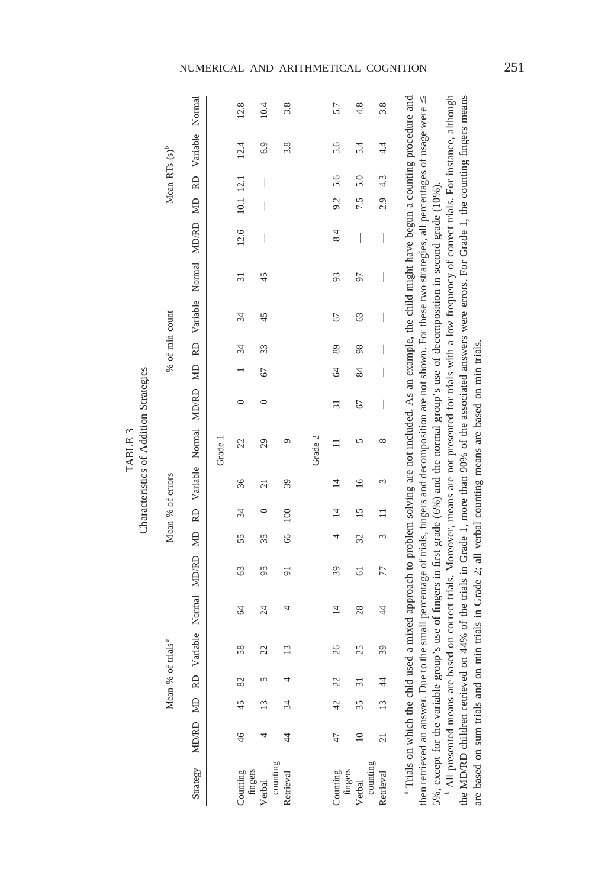| TARIE <sub>3</sub> | Ŧ<br>֚֓֜֡֓֡֓֡֓֡֓֡֓֡֓<br>٦<br>Ĩ. |
|--------------------|---------------------------------|

|                                                                      |                |    |               | Mean % of trials <sup>a</sup>                                                                                                                           |                |          |    |     | Mean % of errors   |         |                 |    |    | % of min count           |                 |          |                         | Mean RTs $(s)^b$ |          |        |
|----------------------------------------------------------------------|----------------|----|---------------|---------------------------------------------------------------------------------------------------------------------------------------------------------|----------------|----------|----|-----|--------------------|---------|-----------------|----|----|--------------------------|-----------------|----------|-------------------------|------------------|----------|--------|
| Strategy MD/RD MD                                                    |                |    | RD            | Variable Normal                                                                                                                                         |                | MD/RD MD |    |     | RD Variable Normal |         | MD/RD MD        |    |    | RD Variable Normal MD/RD |                 |          | $\overline{\mathbb{E}}$ | RD               | Variable | Normal |
|                                                                      |                |    |               |                                                                                                                                                         |                |          |    |     |                    | Grade   |                 |    |    |                          |                 |          |                         |                  |          |        |
| Counting<br>fingers<br>Verbal                                        | 46             | 45 | 82            | 58                                                                                                                                                      | $\mathcal{A}$  | 63       | 55 | 34  | 36                 | 22      |                 |    | 34 | 34                       | $\overline{31}$ | 12.6     | 10.1 12.1               |                  | 12.4     | 12.8   |
| counting                                                             |                |    |               | 22                                                                                                                                                      | 24             | 95       | 35 |     | $\overline{c}$     | 29      | 0               | 67 | 33 | 45                       | 45              | I        | I                       | I                | 6.9      | 10.4   |
| Retrieval                                                            | $\overline{4}$ | 34 |               | B                                                                                                                                                       | 4              | 51       | 66 | 100 | 39                 | ᢦ       | I               |    |    | I                        | I               | I        | I                       | I                | 3.8      | 3.8    |
|                                                                      |                |    |               |                                                                                                                                                         |                |          |    |     |                    | Grade 2 |                 |    |    |                          |                 |          |                         |                  |          |        |
| $\begin{array}{c} \textrm{Counting} \\ \textrm{fingers} \end{array}$ | 47             | 42 | 22            | 26                                                                                                                                                      | $\overline{4}$ | 39       |    |     | $\overline{4}$     |         | $\overline{31}$ | 2  | 89 | 67                       | 93              | 8.4      | 9.2                     | 5.6              | 5.6      | 5.7    |
| counting<br>Verbal                                                   |                | 35 | ಸ             | 25                                                                                                                                                      | 28             | 5        | 32 | 15  | $\frac{6}{2}$      | S       | 67              | 84 | 98 | G3                       | 50              | $\bigg $ | 7.5                     | 5.0              | 5.4      | 4.8    |
| Retrieval                                                            | $\overline{z}$ |    | $\frac{4}{4}$ | 39                                                                                                                                                      | 4              | 77       | 3  |     |                    | ∞       | I               | I  |    |                          | I               | I        | 2.9                     | 4.3              | 4.4      | 3.8    |
|                                                                      |                |    |               | "Trials on which the chld used a mixed approach to problem solving are not included. As an example, the child might have begun a counting procedure and |                |          |    |     |                    |         |                 |    |    |                          |                 |          |                         |                  |          |        |

<sup>*b*</sup> All presented means are based on correct trials. Moreover, means are not presented for trials with a low frequency of correct trials. For instance, although then retrieved an answer. Due to the small percentage of trials, fingers and decomposition are not shown. For these two strategies, all percentages of usage were  $\leq$ the MD/RD children retrieved on 44% of the trials in Grade 1, more than 90% of the associated answers were errors. For Grade 1, the counting fingers means All presented means are based on correct trials. Moreover, means are not presented for trials with a low frequency of correct trials. For instance, although the MD/RD children retrieved on 44% of the trials in Grade 1, more than 90% of the associated answers were errors. For Grade 1, the counting fingers means then retrieved an answer. Due to the small percentage of trials, fingers and decomposition are not shown. For these two strategies, all percentages of usage were  $\leq$ 5%, except for the variable group's use of fingers in first grade (6%) and the normal group's use of decomposition in second grade (10%). 5%, except for the variable group's use of fingers in first grade (6%) and the normal group's use of decomposition in second grade (10%). are based on sum trials and on min trials in Grade 2; all verbal counting means are based on min trials.

are based on sum trials and on min trials in Grade 2; all verbal counting means are based on min trials.

### NUMERICAL AND ARITHMETICAL COGNITION 251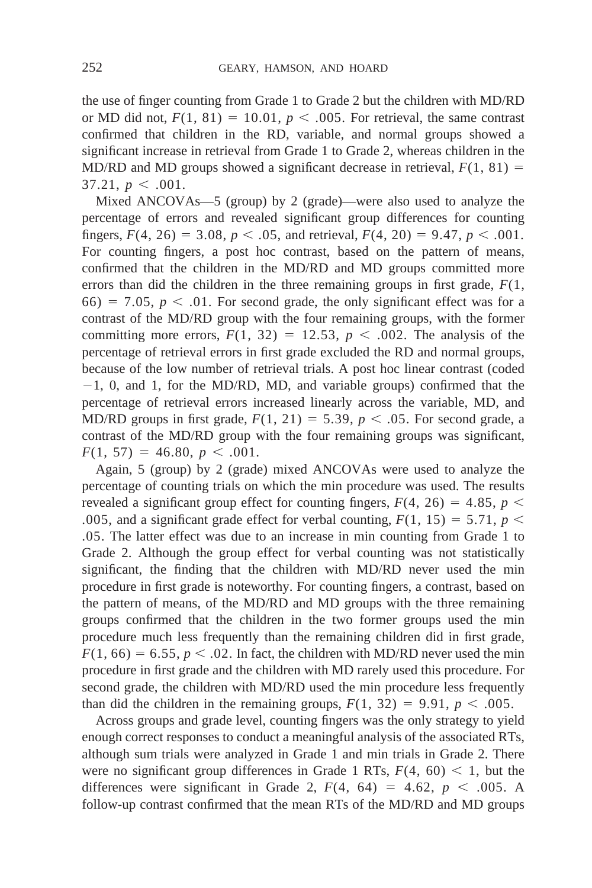the use of finger counting from Grade 1 to Grade 2 but the children with MD/RD or MD did not,  $F(1, 81) = 10.01$ ,  $p < .005$ . For retrieval, the same contrast confirmed that children in the RD, variable, and normal groups showed a significant increase in retrieval from Grade 1 to Grade 2, whereas children in the MD/RD and MD groups showed a significant decrease in retrieval,  $F(1, 81) =$  $37.21, p \le .001.$ 

Mixed ANCOVAs—5 (group) by 2 (grade)—were also used to analyze the percentage of errors and revealed significant group differences for counting fingers,  $F(4, 26) = 3.08$ ,  $p < .05$ , and retrieval,  $F(4, 20) = 9.47$ ,  $p < .001$ . For counting fingers, a post hoc contrast, based on the pattern of means, confirmed that the children in the MD/RD and MD groups committed more errors than did the children in the three remaining groups in first grade,  $F(1, 1)$  $66$ ) = 7.05,  $p < .01$ . For second grade, the only significant effect was for a contrast of the MD/RD group with the four remaining groups, with the former committing more errors,  $F(1, 32) = 12.53$ ,  $p < .002$ . The analysis of the percentage of retrieval errors in first grade excluded the RD and normal groups, because of the low number of retrieval trials. A post hoc linear contrast (coded  $-1$ , 0, and 1, for the MD/RD, MD, and variable groups) confirmed that the percentage of retrieval errors increased linearly across the variable, MD, and MD/RD groups in first grade,  $F(1, 21) = 5.39$ ,  $p < .05$ . For second grade, a contrast of the MD/RD group with the four remaining groups was significant,  $F(1, 57) = 46.80, p < .001$ .

Again, 5 (group) by 2 (grade) mixed ANCOVAs were used to analyze the percentage of counting trials on which the min procedure was used. The results revealed a significant group effect for counting fingers,  $F(4, 26) = 4.85$ ,  $p <$ .005, and a significant grade effect for verbal counting,  $F(1, 15) = 5.71$ ,  $p <$ .05. The latter effect was due to an increase in min counting from Grade 1 to Grade 2. Although the group effect for verbal counting was not statistically significant, the finding that the children with MD/RD never used the min procedure in first grade is noteworthy. For counting fingers, a contrast, based on the pattern of means, of the MD/RD and MD groups with the three remaining groups confirmed that the children in the two former groups used the min procedure much less frequently than the remaining children did in first grade,  $F(1, 66) = 6.55$ ,  $p < .02$ . In fact, the children with MD/RD never used the min procedure in first grade and the children with MD rarely used this procedure. For second grade, the children with MD/RD used the min procedure less frequently than did the children in the remaining groups,  $F(1, 32) = 9.91$ ,  $p < .005$ .

Across groups and grade level, counting fingers was the only strategy to yield enough correct responses to conduct a meaningful analysis of the associated RTs, although sum trials were analyzed in Grade 1 and min trials in Grade 2. There were no significant group differences in Grade 1 RTs,  $F(4, 60) < 1$ , but the differences were significant in Grade 2,  $F(4, 64) = 4.62$ ,  $p < .005$ . A follow-up contrast confirmed that the mean RTs of the MD/RD and MD groups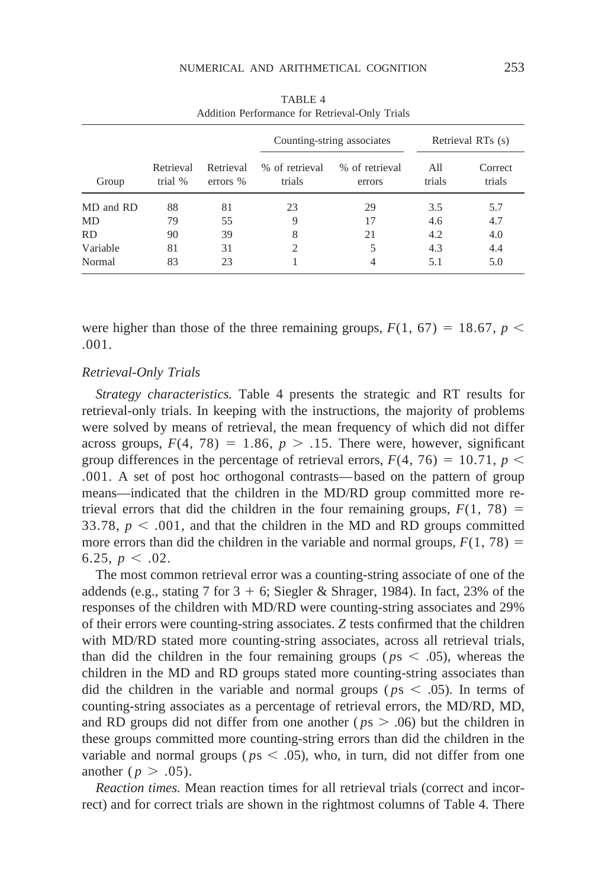|           |                      |                       |                          | Addition Performance for Retrieval-Only Trials |               |                   |
|-----------|----------------------|-----------------------|--------------------------|------------------------------------------------|---------------|-------------------|
|           |                      |                       |                          | Counting-string associates                     |               | Retrieval RTs (s) |
| Group     | Retrieval<br>trial % | Retrieval<br>errors % | % of retrieval<br>trials | % of retrieval<br>errors                       | All<br>trials | Correct<br>trials |
| MD and RD | 88                   | 81                    | 23                       | 29                                             | 3.5           | 5.7               |
| MD        | 79                   | 55                    | 9                        | 17                                             | 4.6           | 4.7               |
| <b>RD</b> | 90                   | 39                    | 8                        | 21                                             | 4.2           | 4.0               |
| Variable  | 81                   | 31                    | 2                        | 5                                              | 4.3           | 4.4               |
| Normal    | 83                   | 23                    |                          |                                                | 5.1           | 5.0               |

TABLE 4 Addition Performance for Retrieval-Only Trials

were higher than those of the three remaining groups,  $F(1, 67) = 18.67$ ,  $p <$ .001.

### *Retrieval-Only Trials*

*Strategy characteristics.* Table 4 presents the strategic and RT results for retrieval-only trials. In keeping with the instructions, the majority of problems were solved by means of retrieval, the mean frequency of which did not differ across groups,  $F(4, 78) = 1.86$ ,  $p > .15$ . There were, however, significant group differences in the percentage of retrieval errors,  $F(4, 76) = 10.71$ ,  $p <$ .001. A set of post hoc orthogonal contrasts—based on the pattern of group means—indicated that the children in the MD/RD group committed more retrieval errors that did the children in the four remaining groups,  $F(1, 78) =$ 33.78,  $p < .001$ , and that the children in the MD and RD groups committed more errors than did the children in the variable and normal groups,  $F(1, 78) =$ 6.25,  $p < .02$ .

The most common retrieval error was a counting-string associate of one of the addends (e.g., stating 7 for  $3 + 6$ ; Siegler & Shrager, 1984). In fact, 23% of the responses of the children with MD/RD were counting-string associates and 29% of their errors were counting-string associates. *Z* tests confirmed that the children with MD/RD stated more counting-string associates, across all retrieval trials, than did the children in the four remaining groups ( $ps < .05$ ), whereas the children in the MD and RD groups stated more counting-string associates than did the children in the variable and normal groups ( $ps < .05$ ). In terms of counting-string associates as a percentage of retrieval errors, the MD/RD, MD, and RD groups did not differ from one another ( $p_s > .06$ ) but the children in these groups committed more counting-string errors than did the children in the variable and normal groups ( $ps < .05$ ), who, in turn, did not differ from one another ( $p > .05$ ).

*Reaction times.* Mean reaction times for all retrieval trials (correct and incorrect) and for correct trials are shown in the rightmost columns of Table 4. There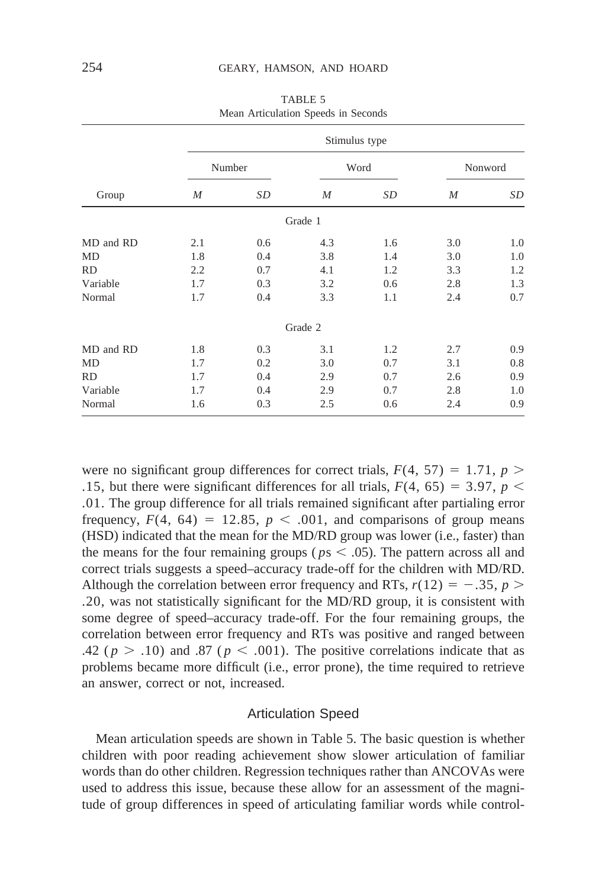|           |                  |     | Stimulus type |      |     |         |
|-----------|------------------|-----|---------------|------|-----|---------|
|           | Number           |     |               | Word |     | Nonword |
| Group     | $\boldsymbol{M}$ | SD  | M             | SD   | M   | SD      |
|           |                  |     | Grade 1       |      |     |         |
| MD and RD | 2.1              | 0.6 | 4.3           | 1.6  | 3.0 | 1.0     |
| MD        | 1.8              | 0.4 | 3.8           | 1.4  | 3.0 | 1.0     |
| <b>RD</b> | 2.2              | 0.7 | 4.1           | 1.2  | 3.3 | 1.2     |
| Variable  | 1.7              | 0.3 | 3.2           | 0.6  | 2.8 | 1.3     |
| Normal    | 1.7              | 0.4 | 3.3           | 1.1  | 2.4 | 0.7     |
|           |                  |     | Grade 2       |      |     |         |
| MD and RD | 1.8              | 0.3 | 3.1           | 1.2  | 2.7 | 0.9     |
| MD        | 1.7              | 0.2 | 3.0           | 0.7  | 3.1 | 0.8     |
| RD        | 1.7              | 0.4 | 2.9           | 0.7  | 2.6 | 0.9     |
| Variable  | 1.7              | 0.4 | 2.9           | 0.7  | 2.8 | 1.0     |
| Normal    | 1.6              | 0.3 | 2.5           | 0.6  | 2.4 | 0.9     |

|                                     | TABLE 5 |  |
|-------------------------------------|---------|--|
| Mean Articulation Speeds in Seconds |         |  |

were no significant group differences for correct trials,  $F(4, 57) = 1.71$ ,  $p >$ .15, but there were significant differences for all trials,  $F(4, 65) = 3.97$ ,  $p <$ .01. The group difference for all trials remained significant after partialing error frequency,  $F(4, 64) = 12.85$ ,  $p < .001$ , and comparisons of group means (HSD) indicated that the mean for the MD/RD group was lower (i.e., faster) than the means for the four remaining groups ( $p_s < .05$ ). The pattern across all and correct trials suggests a speed–accuracy trade-off for the children with MD/RD. Although the correlation between error frequency and RTs,  $r(12) = -.35$ ,  $p >$ .20, was not statistically significant for the MD/RD group, it is consistent with some degree of speed–accuracy trade-off. For the four remaining groups, the correlation between error frequency and RTs was positive and ranged between .42 ( $p > .10$ ) and .87 ( $p < .001$ ). The positive correlations indicate that as problems became more difficult (i.e., error prone), the time required to retrieve an answer, correct or not, increased.

# Articulation Speed

Mean articulation speeds are shown in Table 5. The basic question is whether children with poor reading achievement show slower articulation of familiar words than do other children. Regression techniques rather than ANCOVAs were used to address this issue, because these allow for an assessment of the magnitude of group differences in speed of articulating familiar words while control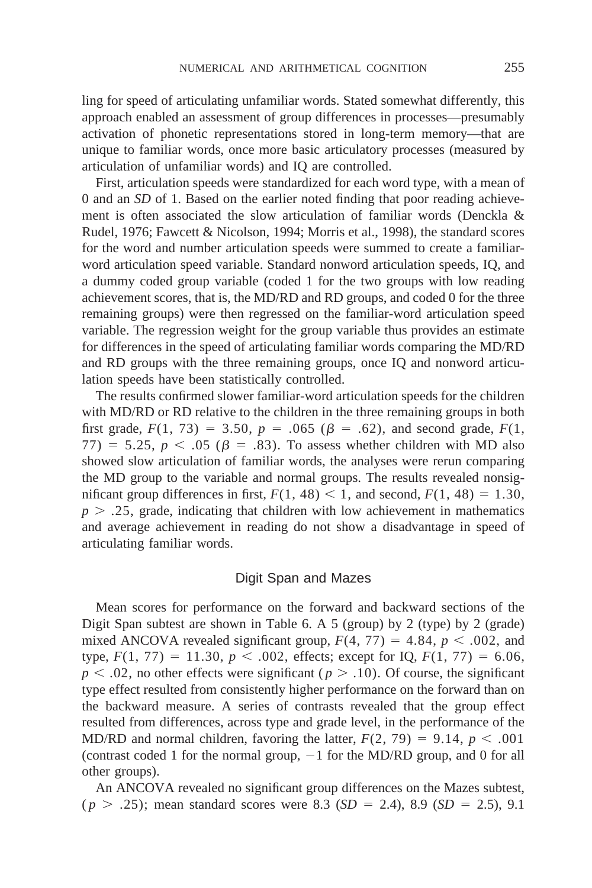ling for speed of articulating unfamiliar words. Stated somewhat differently, this approach enabled an assessment of group differences in processes—presumably activation of phonetic representations stored in long-term memory—that are unique to familiar words, once more basic articulatory processes (measured by articulation of unfamiliar words) and IQ are controlled.

First, articulation speeds were standardized for each word type, with a mean of 0 and an *SD* of 1. Based on the earlier noted finding that poor reading achievement is often associated the slow articulation of familiar words (Denckla & Rudel, 1976; Fawcett & Nicolson, 1994; Morris et al., 1998), the standard scores for the word and number articulation speeds were summed to create a familiarword articulation speed variable. Standard nonword articulation speeds, IQ, and a dummy coded group variable (coded 1 for the two groups with low reading achievement scores, that is, the MD/RD and RD groups, and coded 0 for the three remaining groups) were then regressed on the familiar-word articulation speed variable. The regression weight for the group variable thus provides an estimate for differences in the speed of articulating familiar words comparing the MD/RD and RD groups with the three remaining groups, once IQ and nonword articulation speeds have been statistically controlled.

The results confirmed slower familiar-word articulation speeds for the children with MD/RD or RD relative to the children in the three remaining groups in both first grade,  $F(1, 73) = 3.50$ ,  $p = .065$  ( $\beta = .62$ ), and second grade,  $F(1, 73) = 3.50$ ,  $p = .065$  ( $\beta = .62$ ), and second grade,  $F(1, 73) = 3.50$ 77) = 5.25,  $p < .05$  ( $\beta$  = .83). To assess whether children with MD also showed slow articulation of familiar words, the analyses were rerun comparing the MD group to the variable and normal groups. The results revealed nonsignificant group differences in first,  $F(1, 48) < 1$ , and second,  $F(1, 48) = 1.30$ ,  $p > .25$ , grade, indicating that children with low achievement in mathematics and average achievement in reading do not show a disadvantage in speed of articulating familiar words.

### Digit Span and Mazes

Mean scores for performance on the forward and backward sections of the Digit Span subtest are shown in Table 6. A 5 (group) by 2 (type) by 2 (grade) mixed ANCOVA revealed significant group,  $F(4, 77) = 4.84$ ,  $p < .002$ , and type,  $F(1, 77) = 11.30, p < .002$ , effects; except for IQ,  $F(1, 77) = 6.06$ ,  $p < .02$ , no other effects were significant ( $p > .10$ ). Of course, the significant type effect resulted from consistently higher performance on the forward than on the backward measure. A series of contrasts revealed that the group effect resulted from differences, across type and grade level, in the performance of the MD/RD and normal children, favoring the latter,  $F(2, 79) = 9.14$ ,  $p < .001$ (contrast coded 1 for the normal group,  $-1$  for the MD/RD group, and 0 for all other groups).

An ANCOVA revealed no significant group differences on the Mazes subtest,  $(p > .25)$ ; mean standard scores were 8.3 (*SD* = 2.4), 8.9 (*SD* = 2.5), 9.1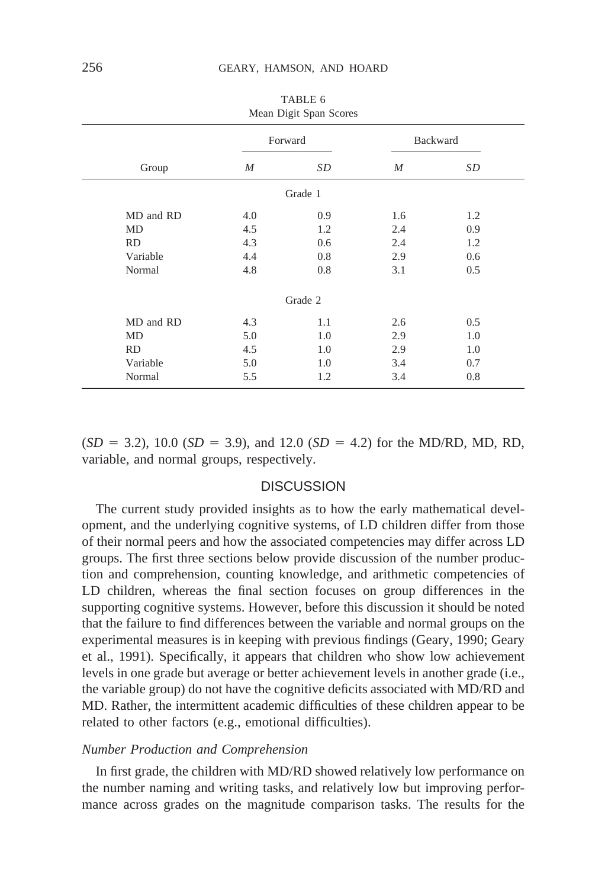|           |     | Forward |     | Backward |
|-----------|-----|---------|-----|----------|
| Group     | M   | SD      | M   | SD       |
|           |     | Grade 1 |     |          |
| MD and RD | 4.0 | 0.9     | 1.6 | 1.2      |
| <b>MD</b> | 4.5 | 1.2     | 2.4 | 0.9      |
| <b>RD</b> | 4.3 | 0.6     | 2.4 | 1.2      |
| Variable  | 4.4 | 0.8     | 2.9 | 0.6      |
| Normal    | 4.8 | 0.8     | 3.1 | 0.5      |
|           |     | Grade 2 |     |          |
| MD and RD | 4.3 | 1.1     | 2.6 | 0.5      |
| MD        | 5.0 | 1.0     | 2.9 | 1.0      |
| <b>RD</b> | 4.5 | 1.0     | 2.9 | 1.0      |
| Variable  | 5.0 | 1.0     | 3.4 | 0.7      |
| Normal    | 5.5 | 1.2     | 3.4 | 0.8      |

TABLE 6 Mean Digit Span Scores

 $(SD = 3.2)$ , 10.0  $(SD = 3.9)$ , and 12.0  $(SD = 4.2)$  for the MD/RD, MD, RD, variable, and normal groups, respectively.

### **DISCUSSION**

The current study provided insights as to how the early mathematical development, and the underlying cognitive systems, of LD children differ from those of their normal peers and how the associated competencies may differ across LD groups. The first three sections below provide discussion of the number production and comprehension, counting knowledge, and arithmetic competencies of LD children, whereas the final section focuses on group differences in the supporting cognitive systems. However, before this discussion it should be noted that the failure to find differences between the variable and normal groups on the experimental measures is in keeping with previous findings (Geary, 1990; Geary et al., 1991). Specifically, it appears that children who show low achievement levels in one grade but average or better achievement levels in another grade (i.e., the variable group) do not have the cognitive deficits associated with MD/RD and MD. Rather, the intermittent academic difficulties of these children appear to be related to other factors (e.g., emotional difficulties).

#### *Number Production and Comprehension*

In first grade, the children with MD/RD showed relatively low performance on the number naming and writing tasks, and relatively low but improving performance across grades on the magnitude comparison tasks. The results for the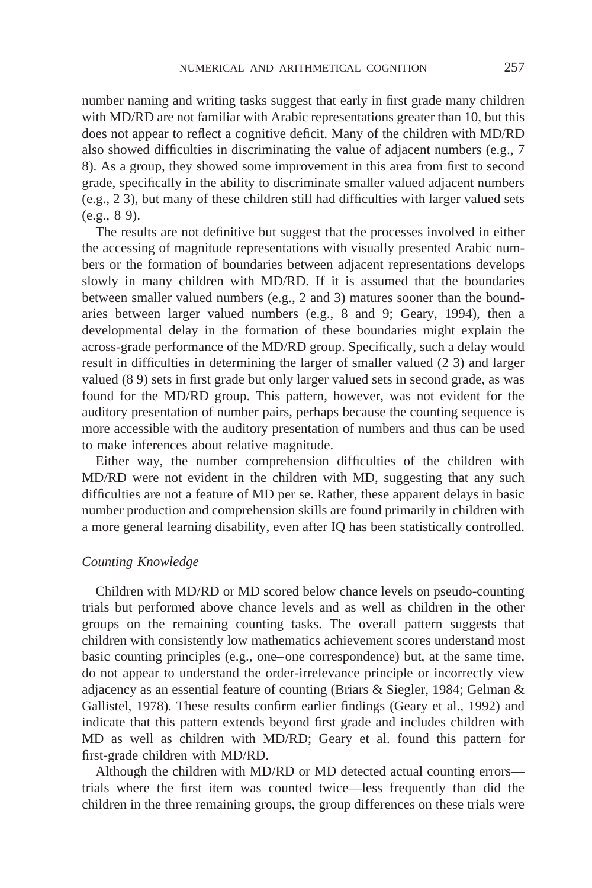number naming and writing tasks suggest that early in first grade many children with MD/RD are not familiar with Arabic representations greater than 10, but this does not appear to reflect a cognitive deficit. Many of the children with MD/RD also showed difficulties in discriminating the value of adjacent numbers (e.g., 7 8). As a group, they showed some improvement in this area from first to second grade, specifically in the ability to discriminate smaller valued adjacent numbers  $(e.g., 2\overline{3})$ , but many of these children still had difficulties with larger valued sets (e.g., 8 9).

The results are not definitive but suggest that the processes involved in either the accessing of magnitude representations with visually presented Arabic numbers or the formation of boundaries between adjacent representations develops slowly in many children with MD/RD. If it is assumed that the boundaries between smaller valued numbers (e.g., 2 and 3) matures sooner than the boundaries between larger valued numbers (e.g., 8 and 9; Geary, 1994), then a developmental delay in the formation of these boundaries might explain the across-grade performance of the MD/RD group. Specifically, such a delay would result in difficulties in determining the larger of smaller valued (2 3) and larger valued (8 9) sets in first grade but only larger valued sets in second grade, as was found for the MD/RD group. This pattern, however, was not evident for the auditory presentation of number pairs, perhaps because the counting sequence is more accessible with the auditory presentation of numbers and thus can be used to make inferences about relative magnitude.

Either way, the number comprehension difficulties of the children with MD/RD were not evident in the children with MD, suggesting that any such difficulties are not a feature of MD per se. Rather, these apparent delays in basic number production and comprehension skills are found primarily in children with a more general learning disability, even after IQ has been statistically controlled.

# *Counting Knowledge*

Children with MD/RD or MD scored below chance levels on pseudo-counting trials but performed above chance levels and as well as children in the other groups on the remaining counting tasks. The overall pattern suggests that children with consistently low mathematics achievement scores understand most basic counting principles (e.g., one–one correspondence) but, at the same time, do not appear to understand the order-irrelevance principle or incorrectly view adjacency as an essential feature of counting (Briars & Siegler, 1984; Gelman & Gallistel, 1978). These results confirm earlier findings (Geary et al., 1992) and indicate that this pattern extends beyond first grade and includes children with MD as well as children with MD/RD; Geary et al. found this pattern for first-grade children with MD/RD.

Although the children with MD/RD or MD detected actual counting errors trials where the first item was counted twice—less frequently than did the children in the three remaining groups, the group differences on these trials were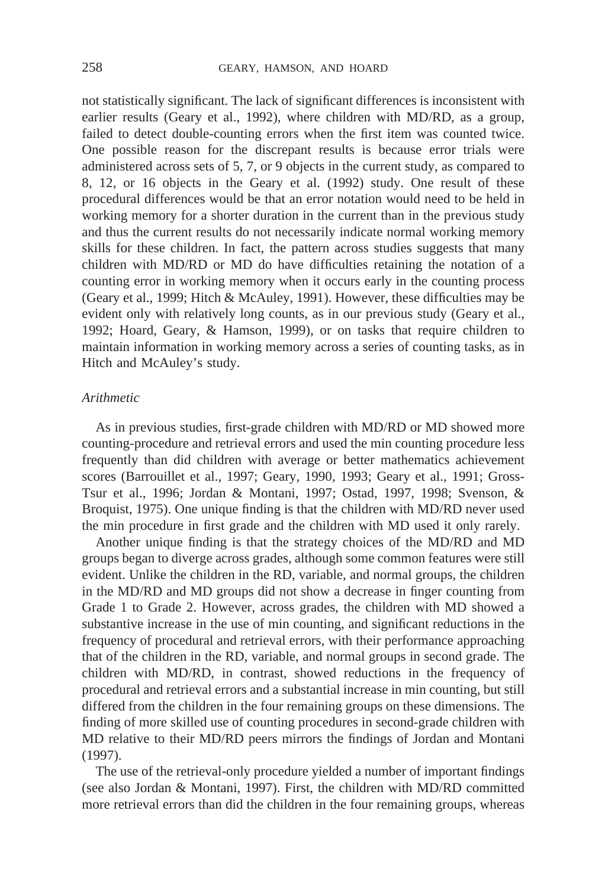not statistically significant. The lack of significant differences is inconsistent with earlier results (Geary et al., 1992), where children with MD/RD, as a group, failed to detect double-counting errors when the first item was counted twice. One possible reason for the discrepant results is because error trials were administered across sets of 5, 7, or 9 objects in the current study, as compared to 8, 12, or 16 objects in the Geary et al. (1992) study. One result of these procedural differences would be that an error notation would need to be held in working memory for a shorter duration in the current than in the previous study and thus the current results do not necessarily indicate normal working memory skills for these children. In fact, the pattern across studies suggests that many children with MD/RD or MD do have difficulties retaining the notation of a counting error in working memory when it occurs early in the counting process (Geary et al., 1999; Hitch & McAuley, 1991). However, these difficulties may be evident only with relatively long counts, as in our previous study (Geary et al., 1992; Hoard, Geary, & Hamson, 1999), or on tasks that require children to maintain information in working memory across a series of counting tasks, as in Hitch and McAuley's study.

### *Arithmetic*

As in previous studies, first-grade children with MD/RD or MD showed more counting-procedure and retrieval errors and used the min counting procedure less frequently than did children with average or better mathematics achievement scores (Barrouillet et al., 1997; Geary, 1990, 1993; Geary et al., 1991; Gross-Tsur et al., 1996; Jordan & Montani, 1997; Ostad, 1997, 1998; Svenson, & Broquist, 1975). One unique finding is that the children with MD/RD never used the min procedure in first grade and the children with MD used it only rarely.

Another unique finding is that the strategy choices of the MD/RD and MD groups began to diverge across grades, although some common features were still evident. Unlike the children in the RD, variable, and normal groups, the children in the MD/RD and MD groups did not show a decrease in finger counting from Grade 1 to Grade 2. However, across grades, the children with MD showed a substantive increase in the use of min counting, and significant reductions in the frequency of procedural and retrieval errors, with their performance approaching that of the children in the RD, variable, and normal groups in second grade. The children with MD/RD, in contrast, showed reductions in the frequency of procedural and retrieval errors and a substantial increase in min counting, but still differed from the children in the four remaining groups on these dimensions. The finding of more skilled use of counting procedures in second-grade children with MD relative to their MD/RD peers mirrors the findings of Jordan and Montani (1997).

The use of the retrieval-only procedure yielded a number of important findings (see also Jordan & Montani, 1997). First, the children with MD/RD committed more retrieval errors than did the children in the four remaining groups, whereas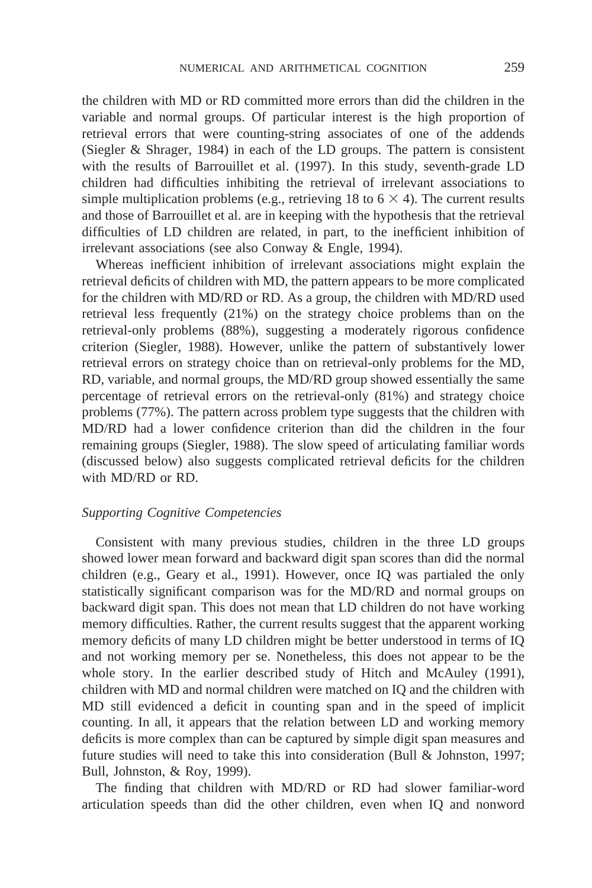the children with MD or RD committed more errors than did the children in the variable and normal groups. Of particular interest is the high proportion of retrieval errors that were counting-string associates of one of the addends (Siegler & Shrager, 1984) in each of the LD groups. The pattern is consistent with the results of Barrouillet et al. (1997). In this study, seventh-grade LD children had difficulties inhibiting the retrieval of irrelevant associations to simple multiplication problems (e.g., retrieving 18 to  $6 \times 4$ ). The current results and those of Barrouillet et al. are in keeping with the hypothesis that the retrieval difficulties of LD children are related, in part, to the inefficient inhibition of irrelevant associations (see also Conway & Engle, 1994).

Whereas inefficient inhibition of irrelevant associations might explain the retrieval deficits of children with MD, the pattern appears to be more complicated for the children with MD/RD or RD. As a group, the children with MD/RD used retrieval less frequently (21%) on the strategy choice problems than on the retrieval-only problems (88%), suggesting a moderately rigorous confidence criterion (Siegler, 1988). However, unlike the pattern of substantively lower retrieval errors on strategy choice than on retrieval-only problems for the MD, RD, variable, and normal groups, the MD/RD group showed essentially the same percentage of retrieval errors on the retrieval-only (81%) and strategy choice problems (77%). The pattern across problem type suggests that the children with MD/RD had a lower confidence criterion than did the children in the four remaining groups (Siegler, 1988). The slow speed of articulating familiar words (discussed below) also suggests complicated retrieval deficits for the children with MD/RD or RD.

### *Supporting Cognitive Competencies*

Consistent with many previous studies, children in the three LD groups showed lower mean forward and backward digit span scores than did the normal children (e.g., Geary et al., 1991). However, once IQ was partialed the only statistically significant comparison was for the MD/RD and normal groups on backward digit span. This does not mean that LD children do not have working memory difficulties. Rather, the current results suggest that the apparent working memory deficits of many LD children might be better understood in terms of IQ and not working memory per se. Nonetheless, this does not appear to be the whole story. In the earlier described study of Hitch and McAuley (1991), children with MD and normal children were matched on IQ and the children with MD still evidenced a deficit in counting span and in the speed of implicit counting. In all, it appears that the relation between LD and working memory deficits is more complex than can be captured by simple digit span measures and future studies will need to take this into consideration (Bull & Johnston, 1997; Bull, Johnston, & Roy, 1999).

The finding that children with MD/RD or RD had slower familiar-word articulation speeds than did the other children, even when IQ and nonword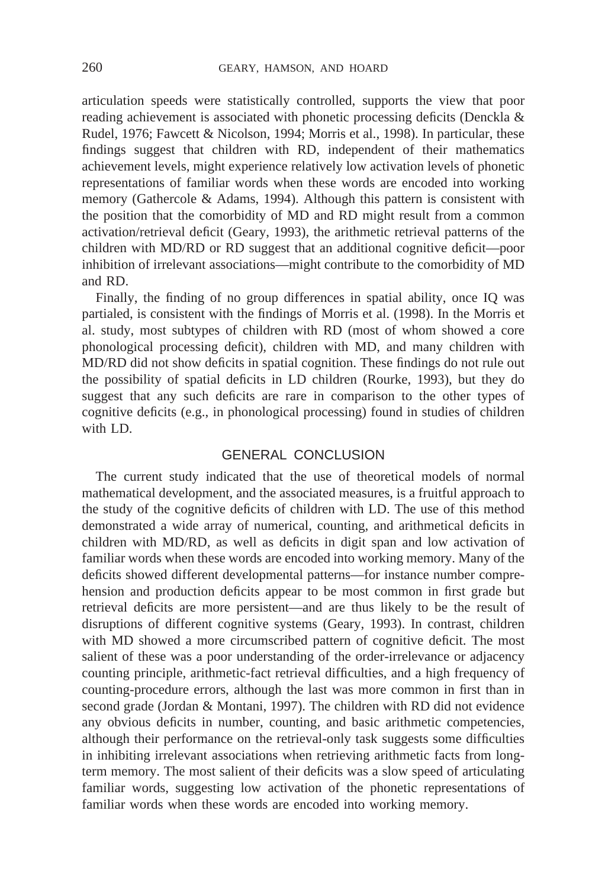articulation speeds were statistically controlled, supports the view that poor reading achievement is associated with phonetic processing deficits (Denckla & Rudel, 1976; Fawcett & Nicolson, 1994; Morris et al., 1998). In particular, these findings suggest that children with RD, independent of their mathematics achievement levels, might experience relatively low activation levels of phonetic representations of familiar words when these words are encoded into working memory (Gathercole & Adams, 1994). Although this pattern is consistent with the position that the comorbidity of MD and RD might result from a common activation/retrieval deficit (Geary, 1993), the arithmetic retrieval patterns of the children with MD/RD or RD suggest that an additional cognitive deficit—poor inhibition of irrelevant associations—might contribute to the comorbidity of MD and RD.

Finally, the finding of no group differences in spatial ability, once IQ was partialed, is consistent with the findings of Morris et al. (1998). In the Morris et al. study, most subtypes of children with RD (most of whom showed a core phonological processing deficit), children with MD, and many children with MD/RD did not show deficits in spatial cognition. These findings do not rule out the possibility of spatial deficits in LD children (Rourke, 1993), but they do suggest that any such deficits are rare in comparison to the other types of cognitive deficits (e.g., in phonological processing) found in studies of children with LD.

### GENERAL CONCLUSION

The current study indicated that the use of theoretical models of normal mathematical development, and the associated measures, is a fruitful approach to the study of the cognitive deficits of children with LD. The use of this method demonstrated a wide array of numerical, counting, and arithmetical deficits in children with MD/RD, as well as deficits in digit span and low activation of familiar words when these words are encoded into working memory. Many of the deficits showed different developmental patterns—for instance number comprehension and production deficits appear to be most common in first grade but retrieval deficits are more persistent—and are thus likely to be the result of disruptions of different cognitive systems (Geary, 1993). In contrast, children with MD showed a more circumscribed pattern of cognitive deficit. The most salient of these was a poor understanding of the order-irrelevance or adjacency counting principle, arithmetic-fact retrieval difficulties, and a high frequency of counting-procedure errors, although the last was more common in first than in second grade (Jordan & Montani, 1997). The children with RD did not evidence any obvious deficits in number, counting, and basic arithmetic competencies, although their performance on the retrieval-only task suggests some difficulties in inhibiting irrelevant associations when retrieving arithmetic facts from longterm memory. The most salient of their deficits was a slow speed of articulating familiar words, suggesting low activation of the phonetic representations of familiar words when these words are encoded into working memory.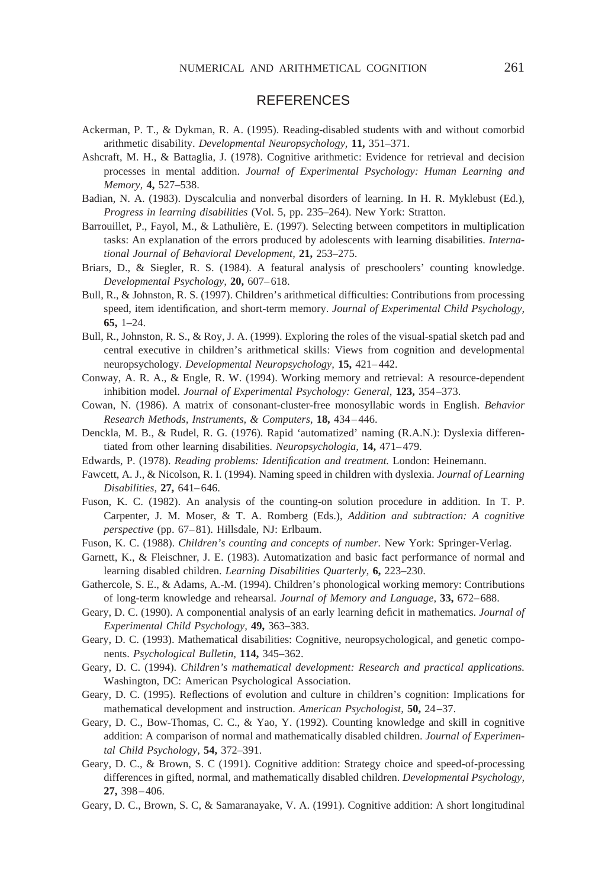### **REFERENCES**

- Ackerman, P. T., & Dykman, R. A. (1995). Reading-disabled students with and without comorbid arithmetic disability. *Developmental Neuropsychology,* **11,** 351–371.
- Ashcraft, M. H., & Battaglia, J. (1978). Cognitive arithmetic: Evidence for retrieval and decision processes in mental addition. *Journal of Experimental Psychology: Human Learning and Memory,* **4,** 527–538.
- Badian, N. A. (1983). Dyscalculia and nonverbal disorders of learning. In H. R. Myklebust (Ed.), *Progress in learning disabilities* (Vol. 5, pp. 235–264). New York: Stratton.
- Barrouillet, P., Fayol, M., & Lathulière, E. (1997). Selecting between competitors in multiplication tasks: An explanation of the errors produced by adolescents with learning disabilities. *International Journal of Behavioral Development,* **21,** 253–275.
- Briars, D., & Siegler, R. S. (1984). A featural analysis of preschoolers' counting knowledge. *Developmental Psychology,* **20,** 607–618.
- Bull, R., & Johnston, R. S. (1997). Children's arithmetical difficulties: Contributions from processing speed, item identification, and short-term memory. *Journal of Experimental Child Psychology,* **65,** 1–24.
- Bull, R., Johnston, R. S., & Roy, J. A. (1999). Exploring the roles of the visual-spatial sketch pad and central executive in children's arithmetical skills: Views from cognition and developmental neuropsychology. *Developmental Neuropsychology,* **15,** 421–442.
- Conway, A. R. A., & Engle, R. W. (1994). Working memory and retrieval: A resource-dependent inhibition model. *Journal of Experimental Psychology: General,* **123,** 354–373.
- Cowan, N. (1986). A matrix of consonant-cluster-free monosyllabic words in English. *Behavior Research Methods, Instruments, & Computers,* **18,** 434–446.
- Denckla, M. B., & Rudel, R. G. (1976). Rapid 'automatized' naming (R.A.N.): Dyslexia differentiated from other learning disabilities. *Neuropsychologia,* **14,** 471–479.
- Edwards, P. (1978). *Reading problems: Identification and treatment.* London: Heinemann.
- Fawcett, A. J., & Nicolson, R. I. (1994). Naming speed in children with dyslexia. *Journal of Learning Disabilities,* **27,** 641–646.
- Fuson, K. C. (1982). An analysis of the counting-on solution procedure in addition. In T. P. Carpenter, J. M. Moser, & T. A. Romberg (Eds.), *Addition and subtraction: A cognitive perspective* (pp. 67–81). Hillsdale, NJ: Erlbaum.
- Fuson, K. C. (1988). *Children's counting and concepts of number.* New York: Springer-Verlag.
- Garnett, K., & Fleischner, J. E. (1983). Automatization and basic fact performance of normal and learning disabled children. *Learning Disabilities Quarterly,* **6,** 223–230.
- Gathercole, S. E., & Adams, A.-M. (1994). Children's phonological working memory: Contributions of long-term knowledge and rehearsal. *Journal of Memory and Language,* **33,** 672–688.
- Geary, D. C. (1990). A componential analysis of an early learning deficit in mathematics. *Journal of Experimental Child Psychology,* **49,** 363–383.
- Geary, D. C. (1993). Mathematical disabilities: Cognitive, neuropsychological, and genetic components. *Psychological Bulletin,* **114,** 345–362.
- Geary, D. C. (1994). *Children's mathematical development: Research and practical applications.* Washington, DC: American Psychological Association.
- Geary, D. C. (1995). Reflections of evolution and culture in children's cognition: Implications for mathematical development and instruction. *American Psychologist,* **50,** 24–37.
- Geary, D. C., Bow-Thomas, C. C., & Yao, Y. (1992). Counting knowledge and skill in cognitive addition: A comparison of normal and mathematically disabled children. *Journal of Experimental Child Psychology,* **54,** 372–391.
- Geary, D. C., & Brown, S. C (1991). Cognitive addition: Strategy choice and speed-of-processing differences in gifted, normal, and mathematically disabled children. *Developmental Psychology,* **27,** 398–406.
- Geary, D. C., Brown, S. C, & Samaranayake, V. A. (1991). Cognitive addition: A short longitudinal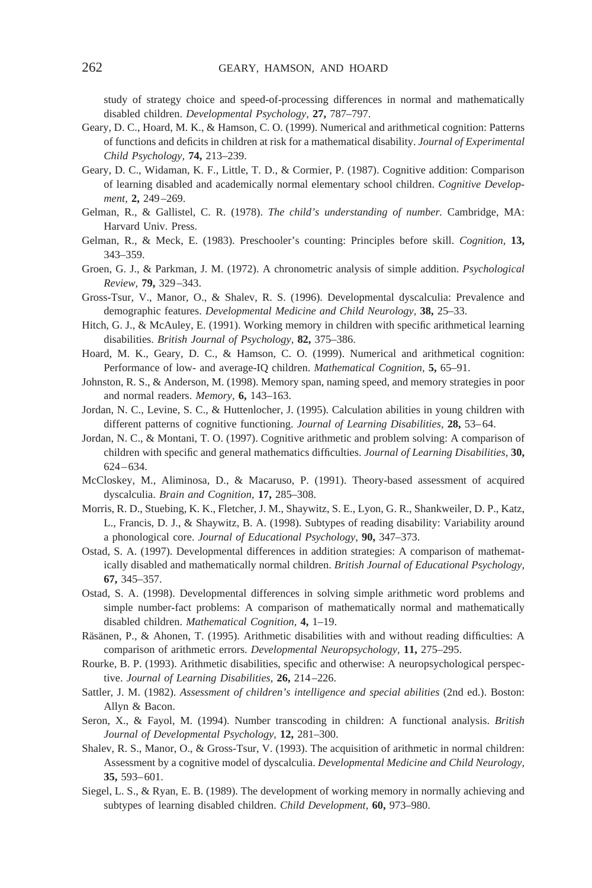study of strategy choice and speed-of-processing differences in normal and mathematically disabled children. *Developmental Psychology,* **27,** 787–797.

- Geary, D. C., Hoard, M. K., & Hamson, C. O. (1999). Numerical and arithmetical cognition: Patterns of functions and deficits in children at risk for a mathematical disability. *Journal of Experimental Child Psychology,* **74,** 213–239.
- Geary, D. C., Widaman, K. F., Little, T. D., & Cormier, P. (1987). Cognitive addition: Comparison of learning disabled and academically normal elementary school children. *Cognitive Development,* **2,** 249–269.
- Gelman, R., & Gallistel, C. R. (1978). *The child's understanding of number.* Cambridge, MA: Harvard Univ. Press.
- Gelman, R., & Meck, E. (1983). Preschooler's counting: Principles before skill. *Cognition,* **13,** 343–359.
- Groen, G. J., & Parkman, J. M. (1972). A chronometric analysis of simple addition. *Psychological Review,* **79,** 329–343.
- Gross-Tsur, V., Manor, O., & Shalev, R. S. (1996). Developmental dyscalculia: Prevalence and demographic features. *Developmental Medicine and Child Neurology,* **38,** 25–33.
- Hitch, G. J., & McAuley, E. (1991). Working memory in children with specific arithmetical learning disabilities. *British Journal of Psychology,* **82,** 375–386.
- Hoard, M. K., Geary, D. C., & Hamson, C. O. (1999). Numerical and arithmetical cognition: Performance of low- and average-IQ children. *Mathematical Cognition,* **5,** 65–91.
- Johnston, R. S., & Anderson, M. (1998). Memory span, naming speed, and memory strategies in poor and normal readers. *Memory,* **6,** 143–163.
- Jordan, N. C., Levine, S. C., & Huttenlocher, J. (1995). Calculation abilities in young children with different patterns of cognitive functioning. *Journal of Learning Disabilities,* **28,** 53–64.
- Jordan, N. C., & Montani, T. O. (1997). Cognitive arithmetic and problem solving: A comparison of children with specific and general mathematics difficulties. *Journal of Learning Disabilities,* **30,** 624–634.
- McCloskey, M., Aliminosa, D., & Macaruso, P. (1991). Theory-based assessment of acquired dyscalculia. *Brain and Cognition,* **17,** 285–308.
- Morris, R. D., Stuebing, K. K., Fletcher, J. M., Shaywitz, S. E., Lyon, G. R., Shankweiler, D. P., Katz, L., Francis, D. J., & Shaywitz, B. A. (1998). Subtypes of reading disability: Variability around a phonological core. *Journal of Educational Psychology,* **90,** 347–373.
- Ostad, S. A. (1997). Developmental differences in addition strategies: A comparison of mathematically disabled and mathematically normal children. *British Journal of Educational Psychology,* **67,** 345–357.
- Ostad, S. A. (1998). Developmental differences in solving simple arithmetic word problems and simple number-fact problems: A comparison of mathematically normal and mathematically disabled children. *Mathematical Cognition,* **4,** 1–19.
- Räsänen, P., & Ahonen, T. (1995). Arithmetic disabilities with and without reading difficulties: A comparison of arithmetic errors. *Developmental Neuropsychology,* **11,** 275–295.
- Rourke, B. P. (1993). Arithmetic disabilities, specific and otherwise: A neuropsychological perspective. *Journal of Learning Disabilities,* **26,** 214–226.
- Sattler, J. M. (1982). *Assessment of children's intelligence and special abilities* (2nd ed.). Boston: Allyn & Bacon.
- Seron, X., & Fayol, M. (1994). Number transcoding in children: A functional analysis. *British Journal of Developmental Psychology,* **12,** 281–300.
- Shalev, R. S., Manor, O., & Gross-Tsur, V. (1993). The acquisition of arithmetic in normal children: Assessment by a cognitive model of dyscalculia. *Developmental Medicine and Child Neurology,* **35,** 593–601.
- Siegel, L. S., & Ryan, E. B. (1989). The development of working memory in normally achieving and subtypes of learning disabled children. *Child Development,* **60,** 973–980.